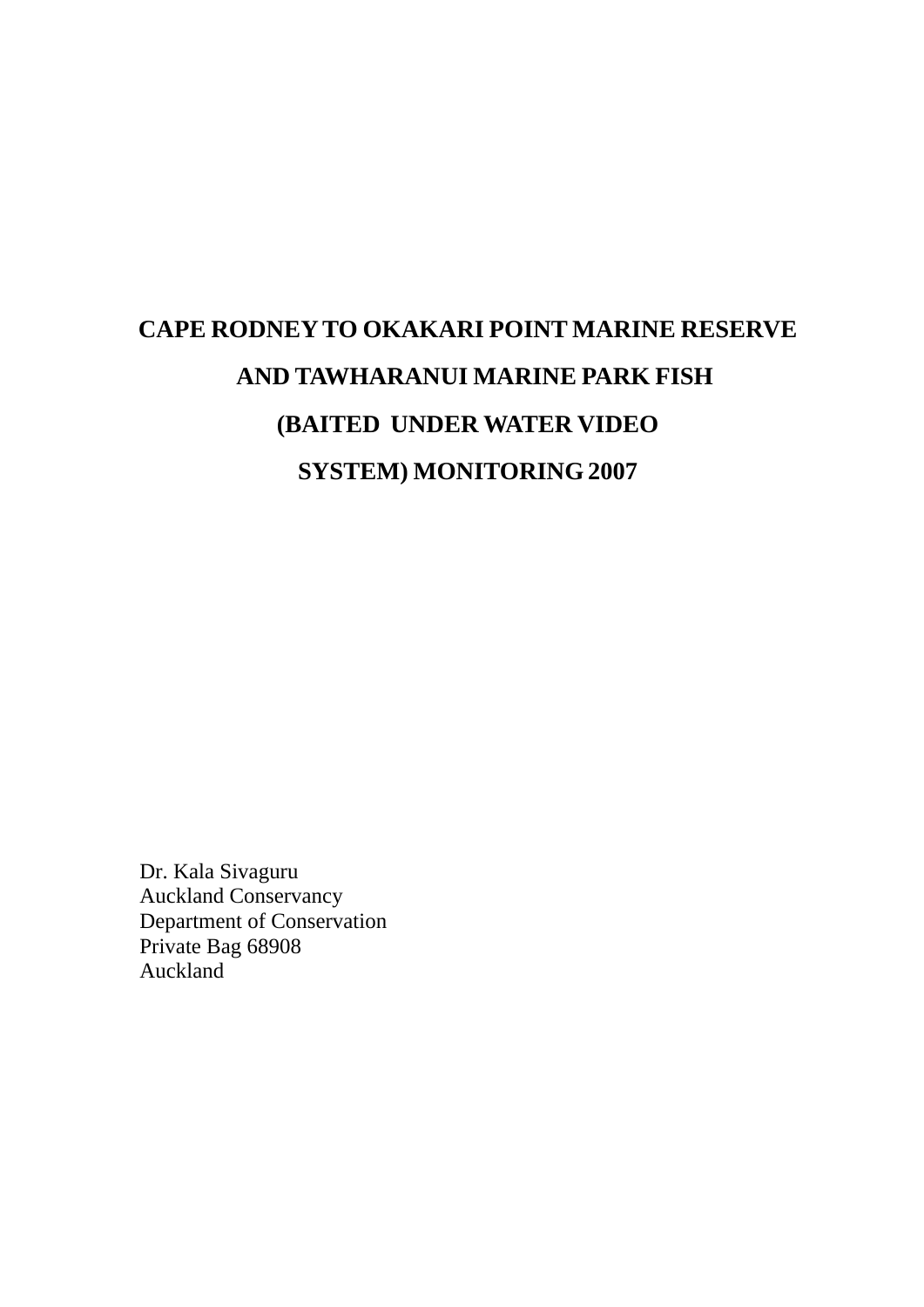# **CAPE RODNEY TO OKAKARI POINT MARINE RESERVE AND TAWHARANUI MARINE PARK FISH (BAITED UNDER WATER VIDEO SYSTEM) MONITORING 2007**

Dr. Kala Sivaguru Auckland Conservancy Department of Conservation Private Bag 68908 Auckland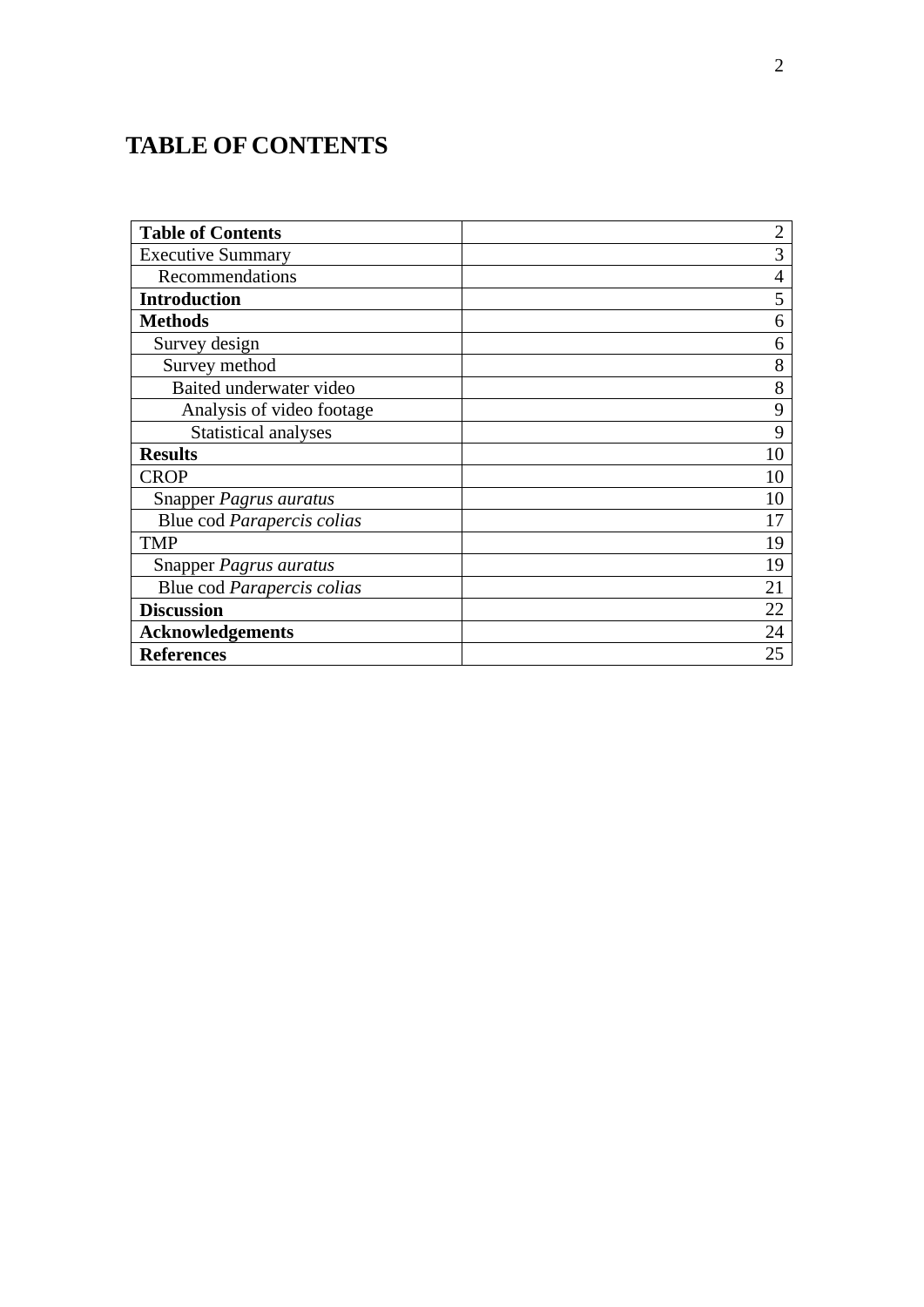# **TABLE OF CONTENTS**

| <b>Table of Contents</b>    | $\overline{2}$ |
|-----------------------------|----------------|
| <b>Executive Summary</b>    | 3              |
| Recommendations             | $\overline{4}$ |
| <b>Introduction</b>         | 5              |
| <b>Methods</b>              | 6              |
| Survey design               | 6              |
| Survey method               | 8              |
| Baited underwater video     | 8              |
| Analysis of video footage   | 9              |
| <b>Statistical analyses</b> | 9              |
| <b>Results</b>              | 10             |
| <b>CROP</b>                 | 10             |
| Snapper Pagrus auratus      | 10             |
| Blue cod Parapercis colias  | 17             |
| <b>TMP</b>                  | 19             |
| Snapper Pagrus auratus      | 19             |
| Blue cod Parapercis colias  | 21             |
| <b>Discussion</b>           | 22             |
| <b>Acknowledgements</b>     | 24             |
| <b>References</b>           | 25             |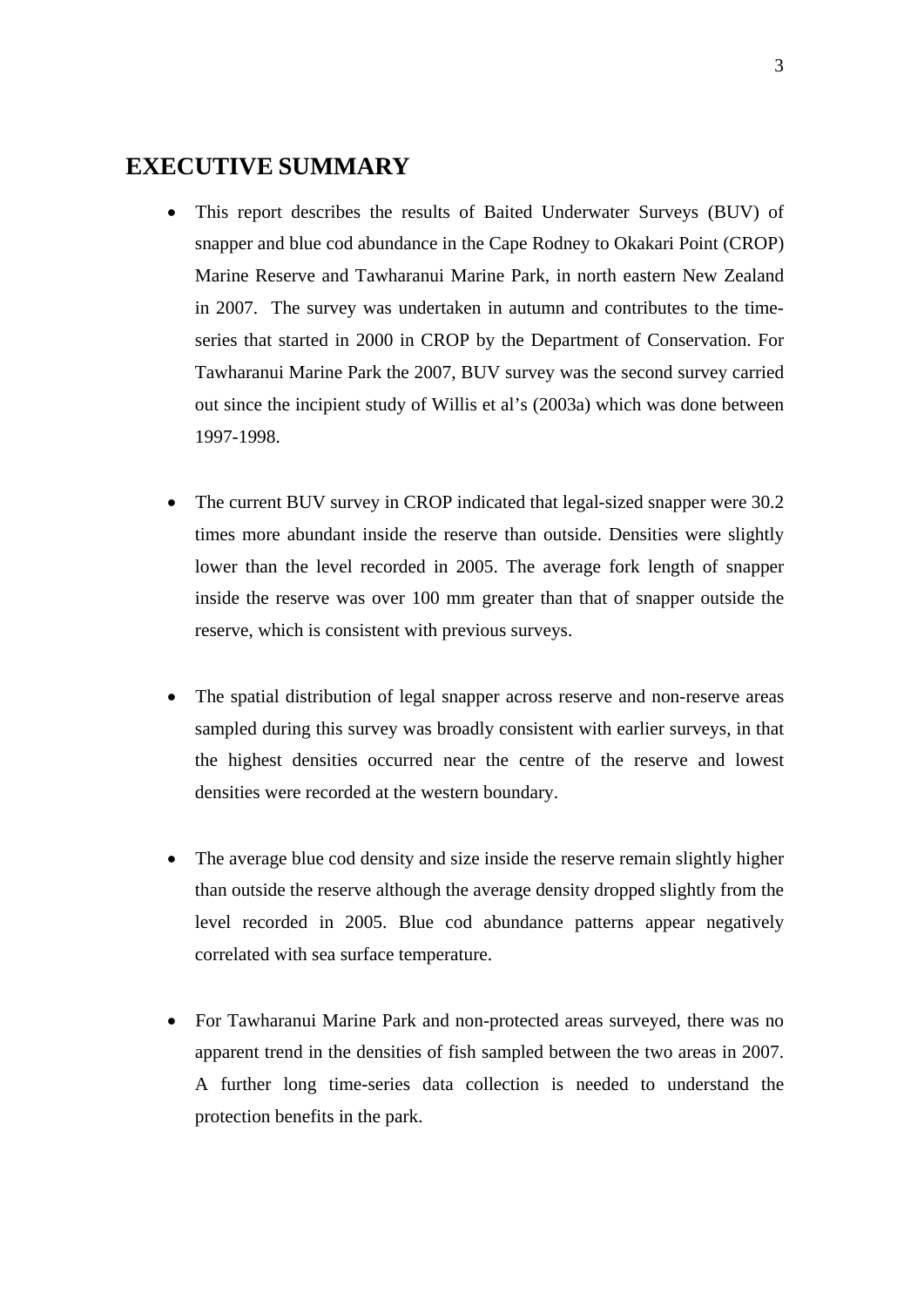# **EXECUTIVE SUMMARY**

- This report describes the results of Baited Underwater Surveys (BUV) of snapper and blue cod abundance in the Cape Rodney to Okakari Point (CROP) Marine Reserve and Tawharanui Marine Park, in north eastern New Zealand in 2007. The survey was undertaken in autumn and contributes to the timeseries that started in 2000 in CROP by the Department of Conservation. For Tawharanui Marine Park the 2007, BUV survey was the second survey carried out since the incipient study of Willis et al's (2003a) which was done between 1997-1998.
- The current BUV survey in CROP indicated that legal-sized snapper were 30.2 times more abundant inside the reserve than outside. Densities were slightly lower than the level recorded in 2005. The average fork length of snapper inside the reserve was over 100 mm greater than that of snapper outside the reserve, which is consistent with previous surveys.
- The spatial distribution of legal snapper across reserve and non-reserve areas sampled during this survey was broadly consistent with earlier surveys, in that the highest densities occurred near the centre of the reserve and lowest densities were recorded at the western boundary.
- The average blue cod density and size inside the reserve remain slightly higher than outside the reserve although the average density dropped slightly from the level recorded in 2005. Blue cod abundance patterns appear negatively correlated with sea surface temperature.
- For Tawharanui Marine Park and non-protected areas surveyed, there was no apparent trend in the densities of fish sampled between the two areas in 2007. A further long time-series data collection is needed to understand the protection benefits in the park.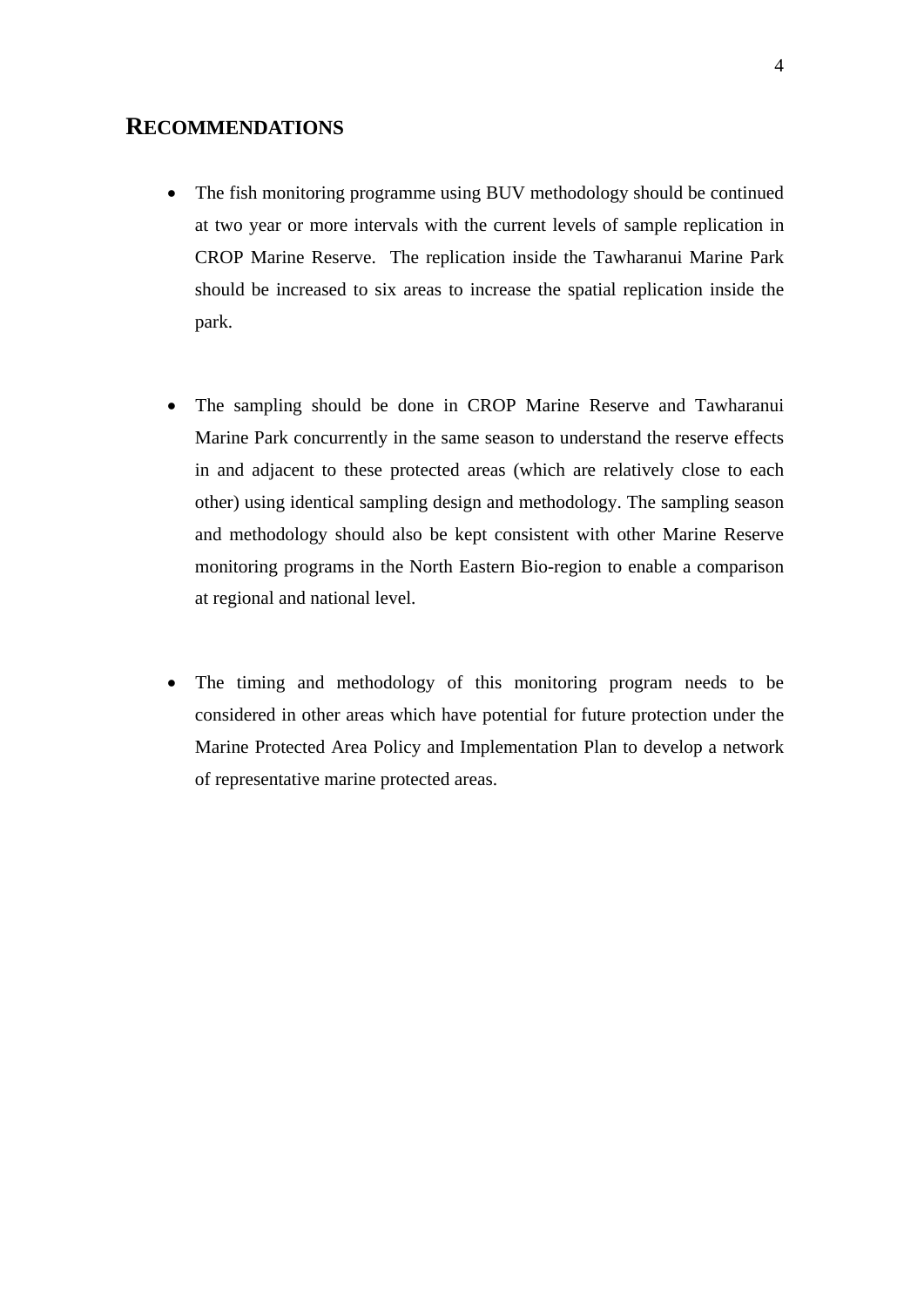# **RECOMMENDATIONS**

- The fish monitoring programme using BUV methodology should be continued at two year or more intervals with the current levels of sample replication in CROP Marine Reserve. The replication inside the Tawharanui Marine Park should be increased to six areas to increase the spatial replication inside the park.
- The sampling should be done in CROP Marine Reserve and Tawharanui Marine Park concurrently in the same season to understand the reserve effects in and adjacent to these protected areas (which are relatively close to each other) using identical sampling design and methodology. The sampling season and methodology should also be kept consistent with other Marine Reserve monitoring programs in the North Eastern Bio-region to enable a comparison at regional and national level.
- The timing and methodology of this monitoring program needs to be considered in other areas which have potential for future protection under the Marine Protected Area Policy and Implementation Plan to develop a network of representative marine protected areas.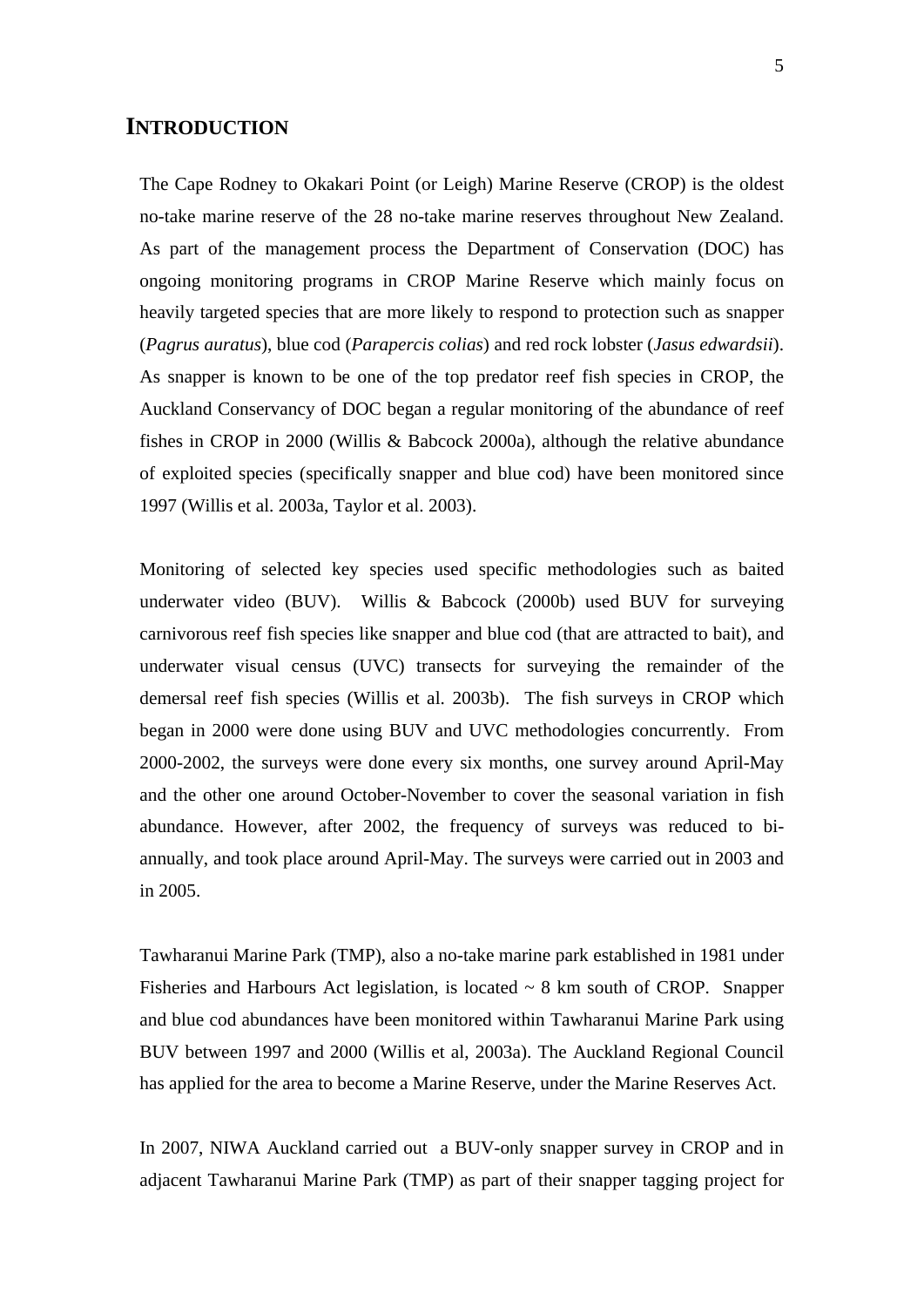# **INTRODUCTION**

The Cape Rodney to Okakari Point (or Leigh) Marine Reserve (CROP) is the oldest no-take marine reserve of the 28 no-take marine reserves throughout New Zealand. As part of the management process the Department of Conservation (DOC) has ongoing monitoring programs in CROP Marine Reserve which mainly focus on heavily targeted species that are more likely to respond to protection such as snapper (*Pagrus auratus*), blue cod (*Parapercis colias*) and red rock lobster (*Jasus edwardsii*). As snapper is known to be one of the top predator reef fish species in CROP, the Auckland Conservancy of DOC began a regular monitoring of the abundance of reef fishes in CROP in 2000 (Willis & Babcock 2000a), although the relative abundance of exploited species (specifically snapper and blue cod) have been monitored since 1997 (Willis et al. 2003a, Taylor et al. 2003).

Monitoring of selected key species used specific methodologies such as baited underwater video (BUV). Willis & Babcock (2000b) used BUV for surveying carnivorous reef fish species like snapper and blue cod (that are attracted to bait), and underwater visual census (UVC) transects for surveying the remainder of the demersal reef fish species (Willis et al. 2003b). The fish surveys in CROP which began in 2000 were done using BUV and UVC methodologies concurrently. From 2000-2002, the surveys were done every six months, one survey around April-May and the other one around October-November to cover the seasonal variation in fish abundance. However, after 2002, the frequency of surveys was reduced to biannually, and took place around April-May. The surveys were carried out in 2003 and in 2005.

Tawharanui Marine Park (TMP), also a no-take marine park established in 1981 under Fisheries and Harbours Act legislation, is located ~ 8 km south of CROP. Snapper and blue cod abundances have been monitored within Tawharanui Marine Park using BUV between 1997 and 2000 (Willis et al, 2003a). The Auckland Regional Council has applied for the area to become a Marine Reserve, under the Marine Reserves Act.

In 2007, NIWA Auckland carried out a BUV-only snapper survey in CROP and in adjacent Tawharanui Marine Park (TMP) as part of their snapper tagging project for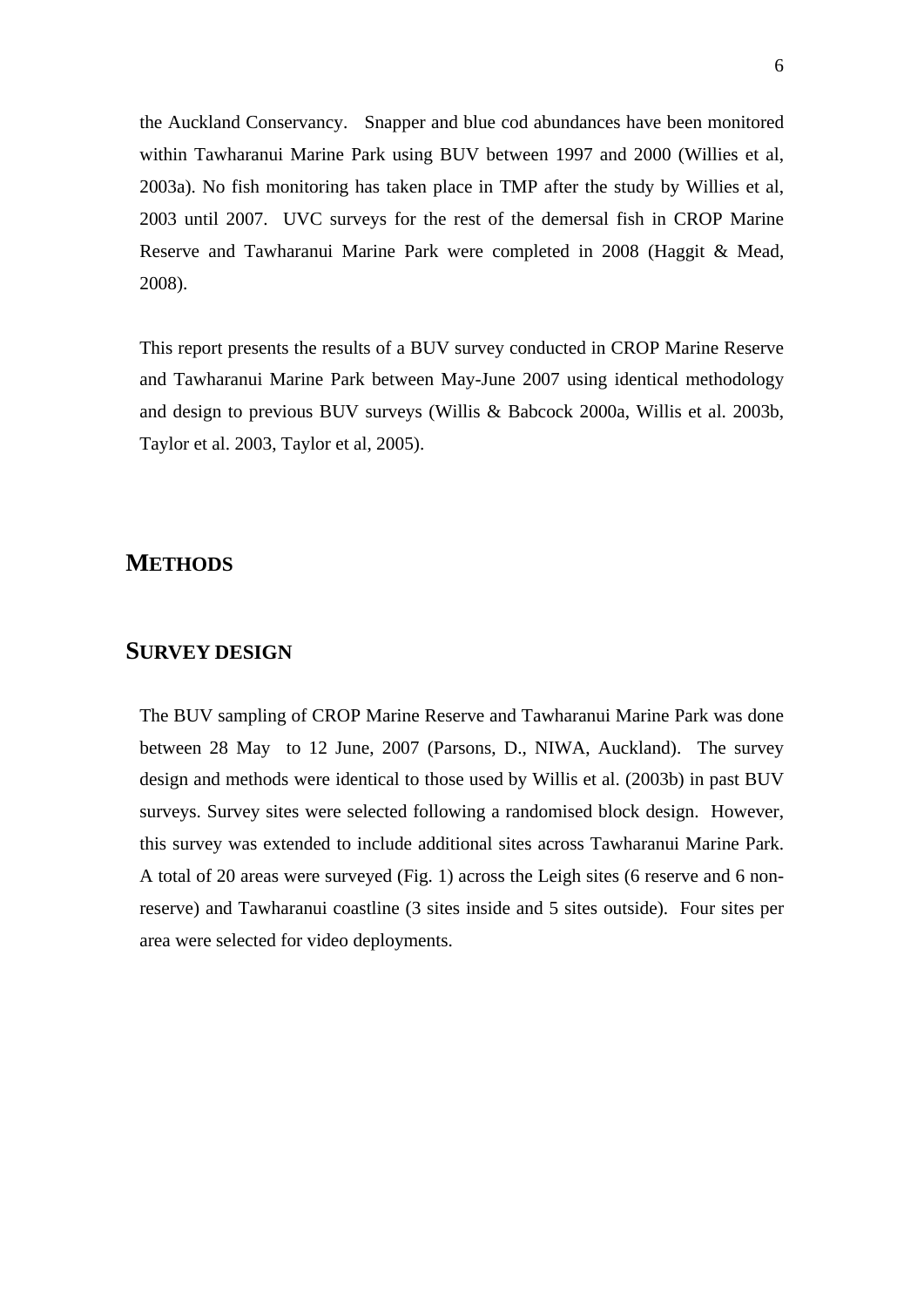the Auckland Conservancy. Snapper and blue cod abundances have been monitored within Tawharanui Marine Park using BUV between 1997 and 2000 (Willies et al, 2003a). No fish monitoring has taken place in TMP after the study by Willies et al, 2003 until 2007. UVC surveys for the rest of the demersal fish in CROP Marine Reserve and Tawharanui Marine Park were completed in 2008 (Haggit & Mead, 2008).

This report presents the results of a BUV survey conducted in CROP Marine Reserve and Tawharanui Marine Park between May-June 2007 using identical methodology and design to previous BUV surveys (Willis & Babcock 2000a, Willis et al. 2003b, Taylor et al. 2003, Taylor et al, 2005).

# **METHODS**

# **SURVEY DESIGN**

The BUV sampling of CROP Marine Reserve and Tawharanui Marine Park was done between 28 May to 12 June, 2007 (Parsons, D., NIWA, Auckland). The survey design and methods were identical to those used by Willis et al. (2003b) in past BUV surveys. Survey sites were selected following a randomised block design. However, this survey was extended to include additional sites across Tawharanui Marine Park. A total of 20 areas were surveyed (Fig. 1) across the Leigh sites (6 reserve and 6 nonreserve) and Tawharanui coastline (3 sites inside and 5 sites outside). Four sites per area were selected for video deployments.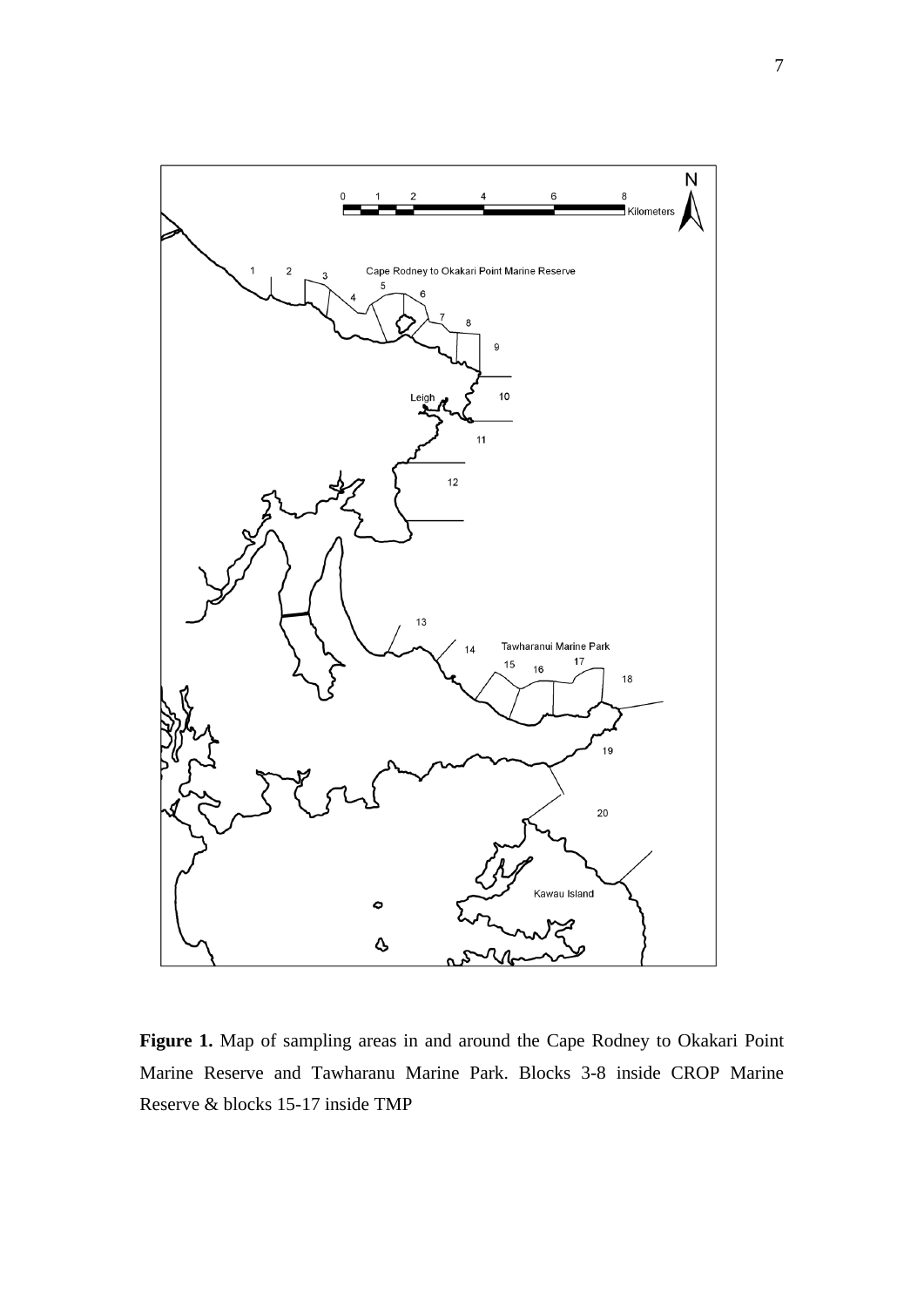

Figure 1. Map of sampling areas in and around the Cape Rodney to Okakari Point Marine Reserve and Tawharanu Marine Park. Blocks 3-8 inside CROP Marine Reserve & blocks 15-17 inside TMP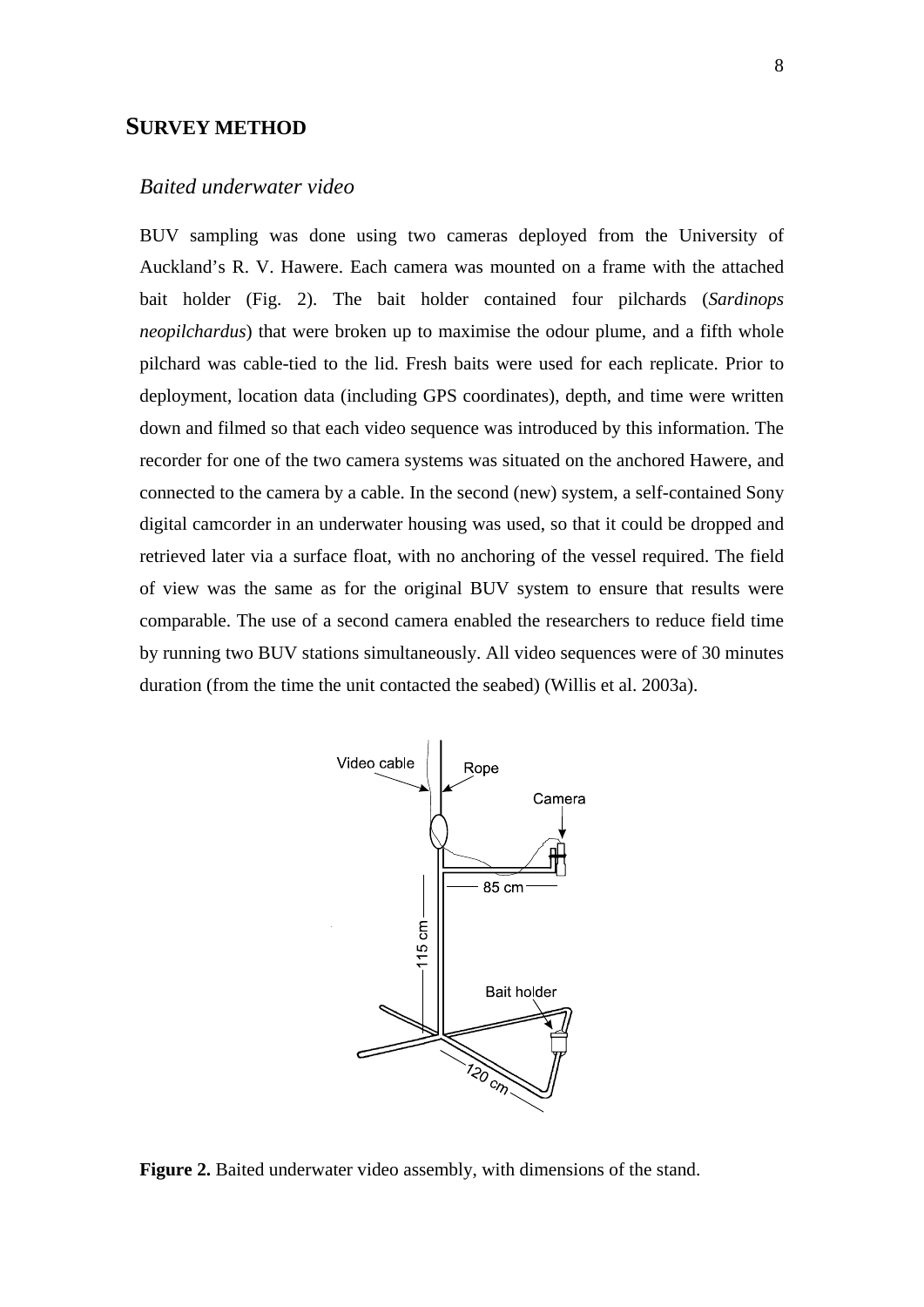# **SURVEY METHOD**

# *Baited underwater video*

BUV sampling was done using two cameras deployed from the University of Auckland's R. V. Hawere. Each camera was mounted on a frame with the attached bait holder (Fig. 2). The bait holder contained four pilchards (*Sardinops neopilchardus*) that were broken up to maximise the odour plume, and a fifth whole pilchard was cable-tied to the lid. Fresh baits were used for each replicate. Prior to deployment, location data (including GPS coordinates), depth, and time were written down and filmed so that each video sequence was introduced by this information. The recorder for one of the two camera systems was situated on the anchored Hawere, and connected to the camera by a cable. In the second (new) system, a self-contained Sony digital camcorder in an underwater housing was used, so that it could be dropped and retrieved later via a surface float, with no anchoring of the vessel required. The field of view was the same as for the original BUV system to ensure that results were comparable. The use of a second camera enabled the researchers to reduce field time by running two BUV stations simultaneously. All video sequences were of 30 minutes duration (from the time the unit contacted the seabed) (Willis et al. 2003a).



**Figure 2.** Baited underwater video assembly, with dimensions of the stand.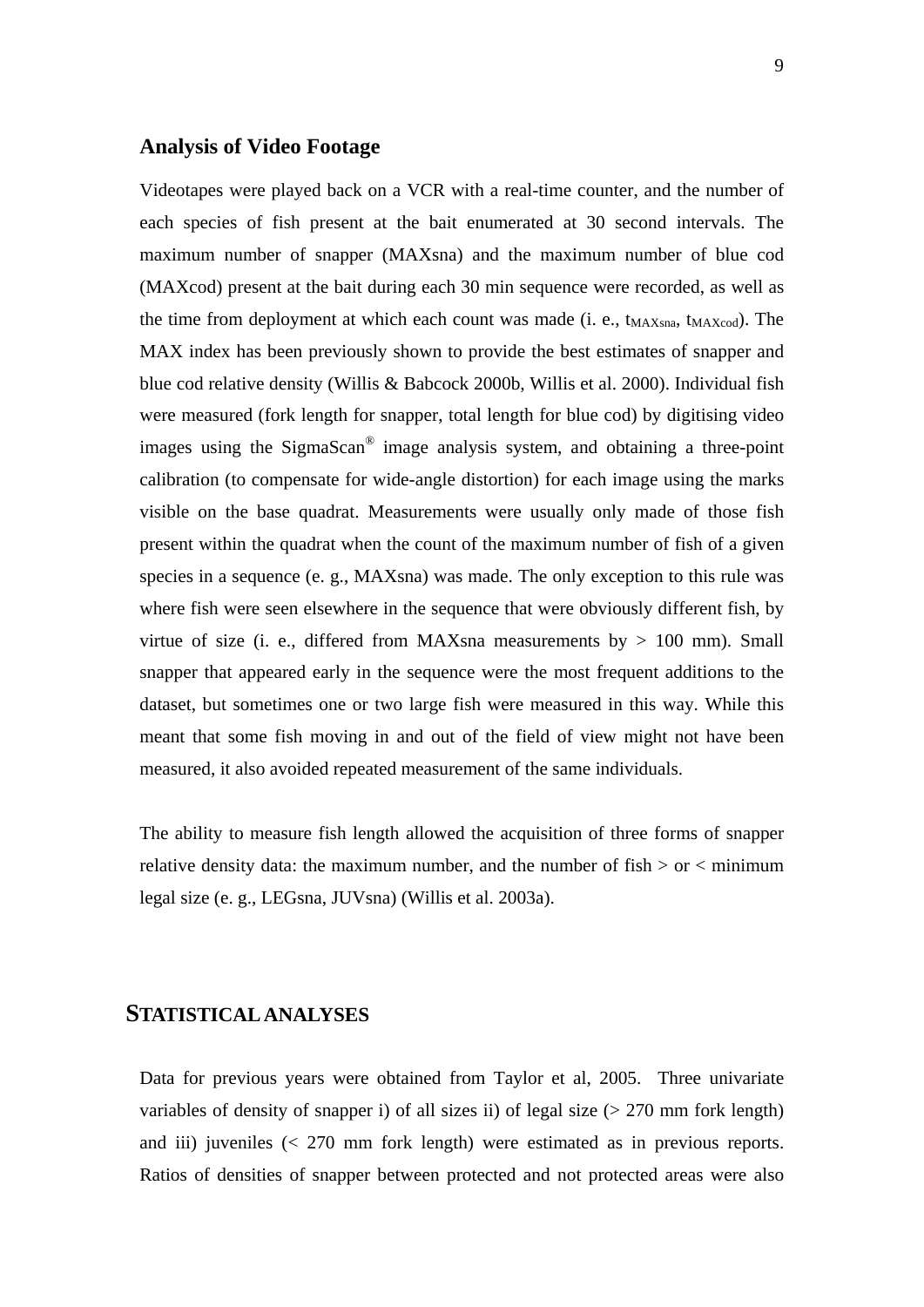## **Analysis of Video Footage**

Videotapes were played back on a VCR with a real-time counter, and the number of each species of fish present at the bait enumerated at 30 second intervals. The maximum number of snapper (MAXsna) and the maximum number of blue cod (MAXcod) present at the bait during each 30 min sequence were recorded, as well as the time from deployment at which each count was made (i. e.,  $t_{MAXsna}$ ,  $t_{MAXcod}$ ). The MAX index has been previously shown to provide the best estimates of snapper and blue cod relative density (Willis & Babcock 2000b, Willis et al. 2000). Individual fish were measured (fork length for snapper, total length for blue cod) by digitising video images using the SigmaScan® image analysis system, and obtaining a three-point calibration (to compensate for wide-angle distortion) for each image using the marks visible on the base quadrat. Measurements were usually only made of those fish present within the quadrat when the count of the maximum number of fish of a given species in a sequence (e. g., MAXsna) was made. The only exception to this rule was where fish were seen elsewhere in the sequence that were obviously different fish, by virtue of size (i. e., differed from MAXsna measurements by  $> 100$  mm). Small snapper that appeared early in the sequence were the most frequent additions to the dataset, but sometimes one or two large fish were measured in this way. While this meant that some fish moving in and out of the field of view might not have been measured, it also avoided repeated measurement of the same individuals.

The ability to measure fish length allowed the acquisition of three forms of snapper relative density data: the maximum number, and the number of  $fish > or < minimum$ legal size (e. g., LEGsna, JUVsna) (Willis et al. 2003a).

# **STATISTICAL ANALYSES**

Data for previous years were obtained from Taylor et al, 2005. Three univariate variables of density of snapper i) of all sizes ii) of legal size (> 270 mm fork length) and iii) juveniles (< 270 mm fork length) were estimated as in previous reports. Ratios of densities of snapper between protected and not protected areas were also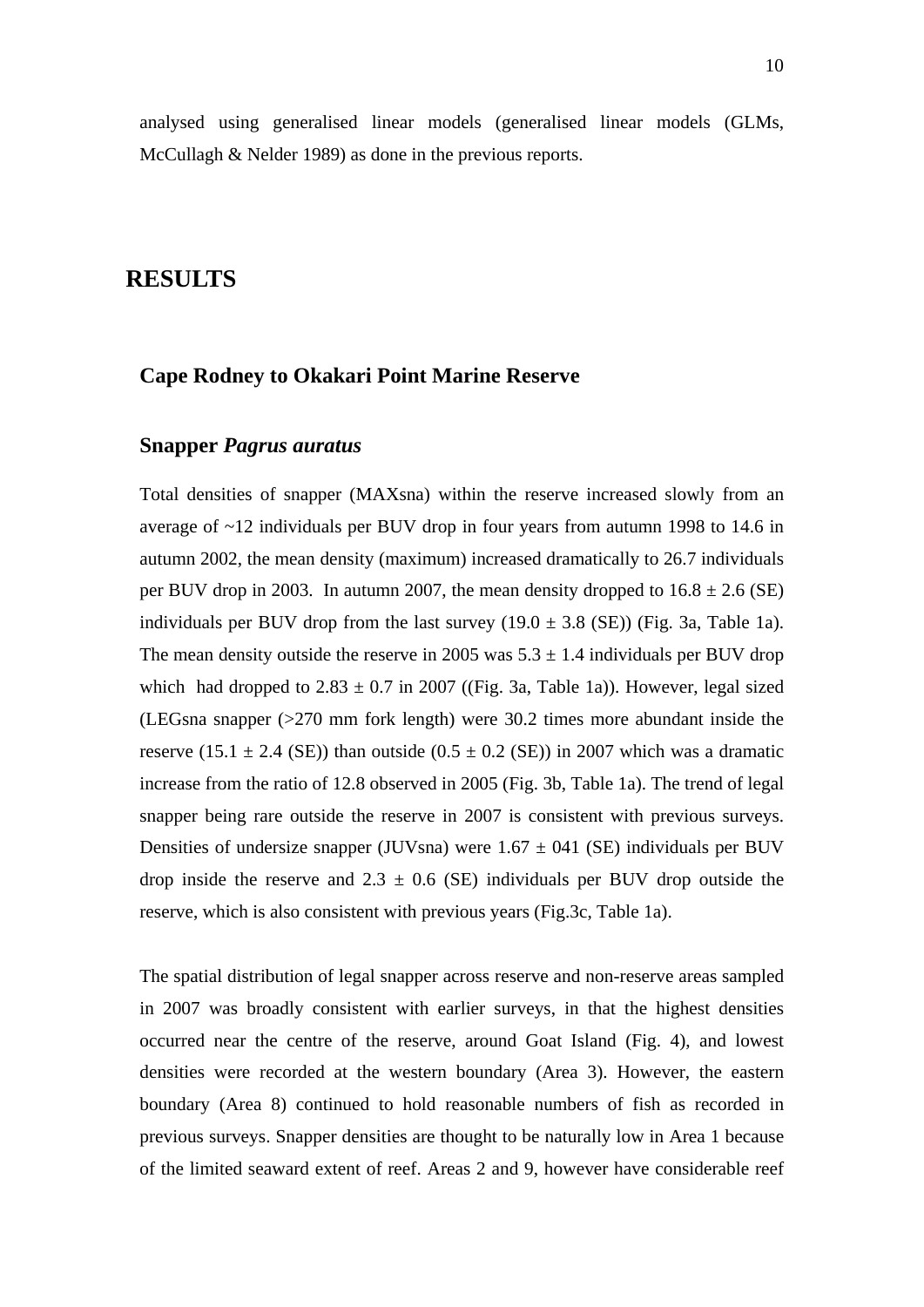# **RESULTS**

## **Cape Rodney to Okakari Point Marine Reserve**

# **Snapper** *Pagrus auratus*

Total densities of snapper (MAXsna) within the reserve increased slowly from an average of ~12 individuals per BUV drop in four years from autumn 1998 to 14.6 in autumn 2002, the mean density (maximum) increased dramatically to 26.7 individuals per BUV drop in 2003. In autumn 2007, the mean density dropped to  $16.8 \pm 2.6$  (SE) individuals per BUV drop from the last survey  $(19.0 \pm 3.8 \text{ (SE)})$  (Fig. 3a, Table 1a). The mean density outside the reserve in 2005 was  $5.3 \pm 1.4$  individuals per BUV drop which had dropped to  $2.83 \pm 0.7$  in 2007 ((Fig. 3a, Table 1a)). However, legal sized (LEGsna snapper (>270 mm fork length) were 30.2 times more abundant inside the reserve (15.1  $\pm$  2.4 (SE)) than outside (0.5  $\pm$  0.2 (SE)) in 2007 which was a dramatic increase from the ratio of 12.8 observed in 2005 (Fig. 3b, Table 1a). The trend of legal snapper being rare outside the reserve in 2007 is consistent with previous surveys. Densities of undersize snapper (JUVsna) were  $1.67 \pm 0.41$  (SE) individuals per BUV drop inside the reserve and  $2.3 \pm 0.6$  (SE) individuals per BUV drop outside the reserve, which is also consistent with previous years (Fig.3c, Table 1a).

The spatial distribution of legal snapper across reserve and non-reserve areas sampled in 2007 was broadly consistent with earlier surveys, in that the highest densities occurred near the centre of the reserve, around Goat Island (Fig. 4), and lowest densities were recorded at the western boundary (Area 3). However, the eastern boundary (Area 8) continued to hold reasonable numbers of fish as recorded in previous surveys. Snapper densities are thought to be naturally low in Area 1 because of the limited seaward extent of reef. Areas 2 and 9, however have considerable reef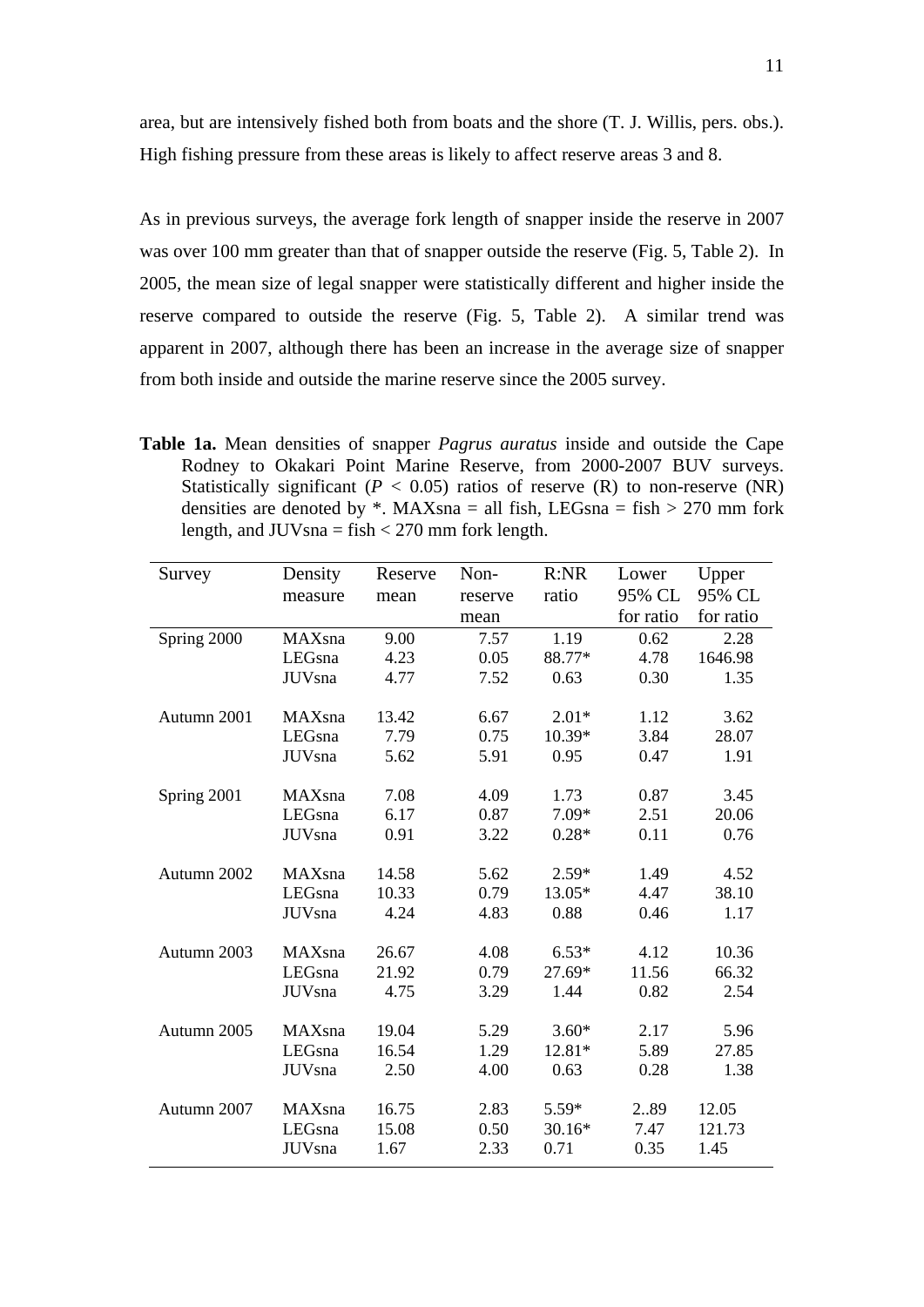area, but are intensively fished both from boats and the shore (T. J. Willis, pers. obs.). High fishing pressure from these areas is likely to affect reserve areas 3 and 8.

As in previous surveys, the average fork length of snapper inside the reserve in 2007 was over 100 mm greater than that of snapper outside the reserve (Fig. 5, Table 2). In 2005, the mean size of legal snapper were statistically different and higher inside the reserve compared to outside the reserve (Fig. 5, Table 2). A similar trend was apparent in 2007, although there has been an increase in the average size of snapper from both inside and outside the marine reserve since the 2005 survey.

**Table 1a.** Mean densities of snapper *Pagrus auratus* inside and outside the Cape Rodney to Okakari Point Marine Reserve, from 2000-2007 BUV surveys. Statistically significant ( $P < 0.05$ ) ratios of reserve (R) to non-reserve (NR) densities are denoted by  $*$ . MAXsna = all fish, LEGsna = fish > 270 mm fork length, and  $JUVs$ na = fish < 270 mm fork length.

| Survey      | Density        | Reserve | Non-    | R:NR    | Lower     | Upper     |
|-------------|----------------|---------|---------|---------|-----------|-----------|
|             | measure        | mean    | reserve | ratio   | 95% CL    | 95% CL    |
|             |                |         | mean    |         | for ratio | for ratio |
| Spring 2000 | MAXsna         | 9.00    | 7.57    | 1.19    | 0.62      | 2.28      |
|             | LEGsna         | 4.23    | 0.05    | 88.77*  | 4.78      | 1646.98   |
|             | <b>JUV</b> sna | 4.77    | 7.52    | 0.63    | 0.30      | 1.35      |
|             |                |         |         |         |           |           |
| Autumn 2001 | MAXsna         | 13.42   | 6.67    | $2.01*$ | 1.12      | 3.62      |
|             | LEGsna         | 7.79    | 0.75    | 10.39*  | 3.84      | 28.07     |
|             | <b>JUV</b> sna | 5.62    | 5.91    | 0.95    | 0.47      | 1.91      |
| Spring 2001 | MAXsna         | 7.08    | 4.09    | 1.73    | 0.87      | 3.45      |
|             | LEGsna         | 6.17    | 0.87    | $7.09*$ | 2.51      | 20.06     |
|             | <b>JUV</b> sna | 0.91    | 3.22    | $0.28*$ | 0.11      | 0.76      |
|             |                |         |         |         |           |           |
| Autumn 2002 | MAXsna         | 14.58   | 5.62    | $2.59*$ | 1.49      | 4.52      |
|             | LEGsna         | 10.33   | 0.79    | 13.05*  | 4.47      | 38.10     |
|             | <b>JUV</b> sna | 4.24    | 4.83    | 0.88    | 0.46      | 1.17      |
| Autumn 2003 | MAXsna         | 26.67   | 4.08    | $6.53*$ | 4.12      | 10.36     |
|             | LEGsna         | 21.92   | 0.79    | 27.69*  | 11.56     | 66.32     |
|             | <b>JUV</b> sna | 4.75    | 3.29    | 1.44    | 0.82      | 2.54      |
|             |                |         |         |         |           |           |
| Autumn 2005 | MAXsna         | 19.04   | 5.29    | $3.60*$ | 2.17      | 5.96      |
|             | LEGsna         | 16.54   | 1.29    | 12.81*  | 5.89      | 27.85     |
|             | <b>JUV</b> sna | 2.50    | 4.00    | 0.63    | 0.28      | 1.38      |
|             |                |         |         |         |           |           |
| Autumn 2007 | MAXsna         | 16.75   | 2.83    | 5.59*   | 289       | 12.05     |
|             | LEGsna         | 15.08   | 0.50    | 30.16*  | 7.47      | 121.73    |
|             | <b>JUV</b> sna | 1.67    | 2.33    | 0.71    | 0.35      | 1.45      |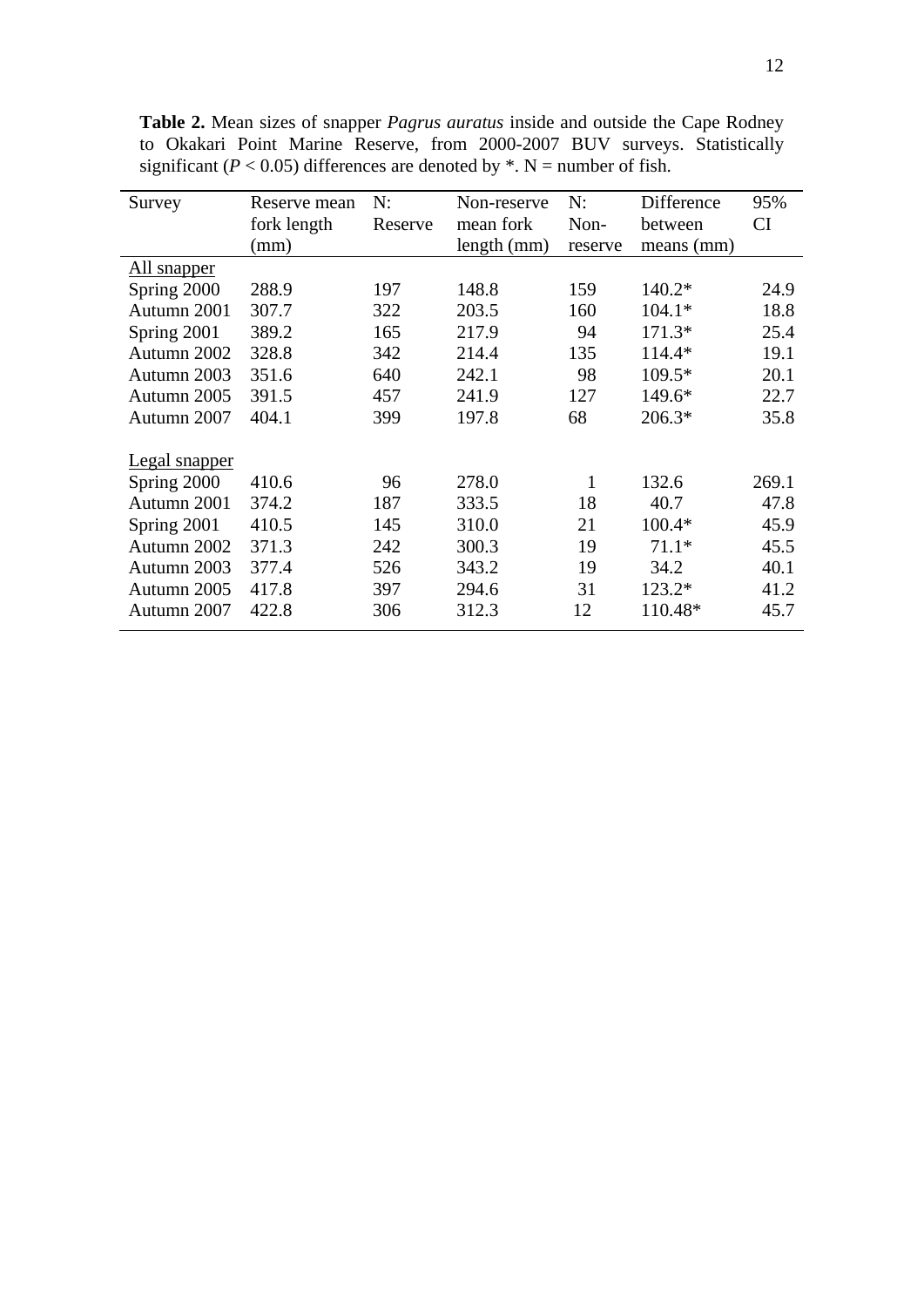**Table 2.** Mean sizes of snapper *Pagrus auratus* inside and outside the Cape Rodney to Okakari Point Marine Reserve, from 2000-2007 BUV surveys. Statistically significant ( $P < 0.05$ ) differences are denoted by  $*$ . N = number of fish.

| Survey                                             | Reserve mean   | N:        | Non-reserve    | N:      | Difference    | 95%           |
|----------------------------------------------------|----------------|-----------|----------------|---------|---------------|---------------|
|                                                    | fork length    | Reserve   | mean fork      | Non-    | between       | CI            |
|                                                    | (mm)           |           | length (mm)    | reserve | means (mm)    |               |
| <u>All snapper</u>                                 |                |           |                |         |               |               |
| Spring 2000                                        | 288.9          | 197       | 148.8          | 159     | $140.2*$      | 24.9          |
| Autumn 2001                                        | 307.7          | 322       | 203.5          | 160     | $104.1*$      | 18.8          |
| Spring 2001                                        | 389.2          | 165       | 217.9          | 94      | $171.3*$      | 25.4          |
| Autumn 2002                                        | 328.8          | 342       | 214.4          | 135     | 114.4*        | 19.1          |
| Autumn 2003                                        | 351.6          | 640       | 242.1          | 98      | 109.5*        | 20.1          |
| Autumn 2005                                        | 391.5          | 457       | 241.9          | 127     | 149.6*        | 22.7          |
| Autumn 2007                                        | 404.1          | 399       | 197.8          | 68      | $206.3*$      | 35.8          |
|                                                    |                |           |                |         |               |               |
|                                                    |                |           |                |         |               |               |
|                                                    |                |           |                |         |               |               |
|                                                    |                |           |                |         |               |               |
| Spring 2001                                        | 410.5          | 145       | 310.0          | 21      | 100.4*        | 45.9          |
| Autumn 2002                                        | 371.3          | 242       | 300.3          | 19      | $71.1*$       | 45.5          |
| Autumn 2003                                        | 377.4          | 526       | 343.2          | 19      | 34.2          | 40.1          |
| Autumn 2005                                        | 417.8          | 397       | 294.6          | 31      | $123.2*$      | 41.2          |
| Autumn 2007                                        | 422.8          | 306       | 312.3          | 12      | 110.48*       | 45.7          |
| <b>Legal snapper</b><br>Spring 2000<br>Autumn 2001 | 410.6<br>374.2 | 96<br>187 | 278.0<br>333.5 | 1<br>18 | 132.6<br>40.7 | 269.1<br>47.8 |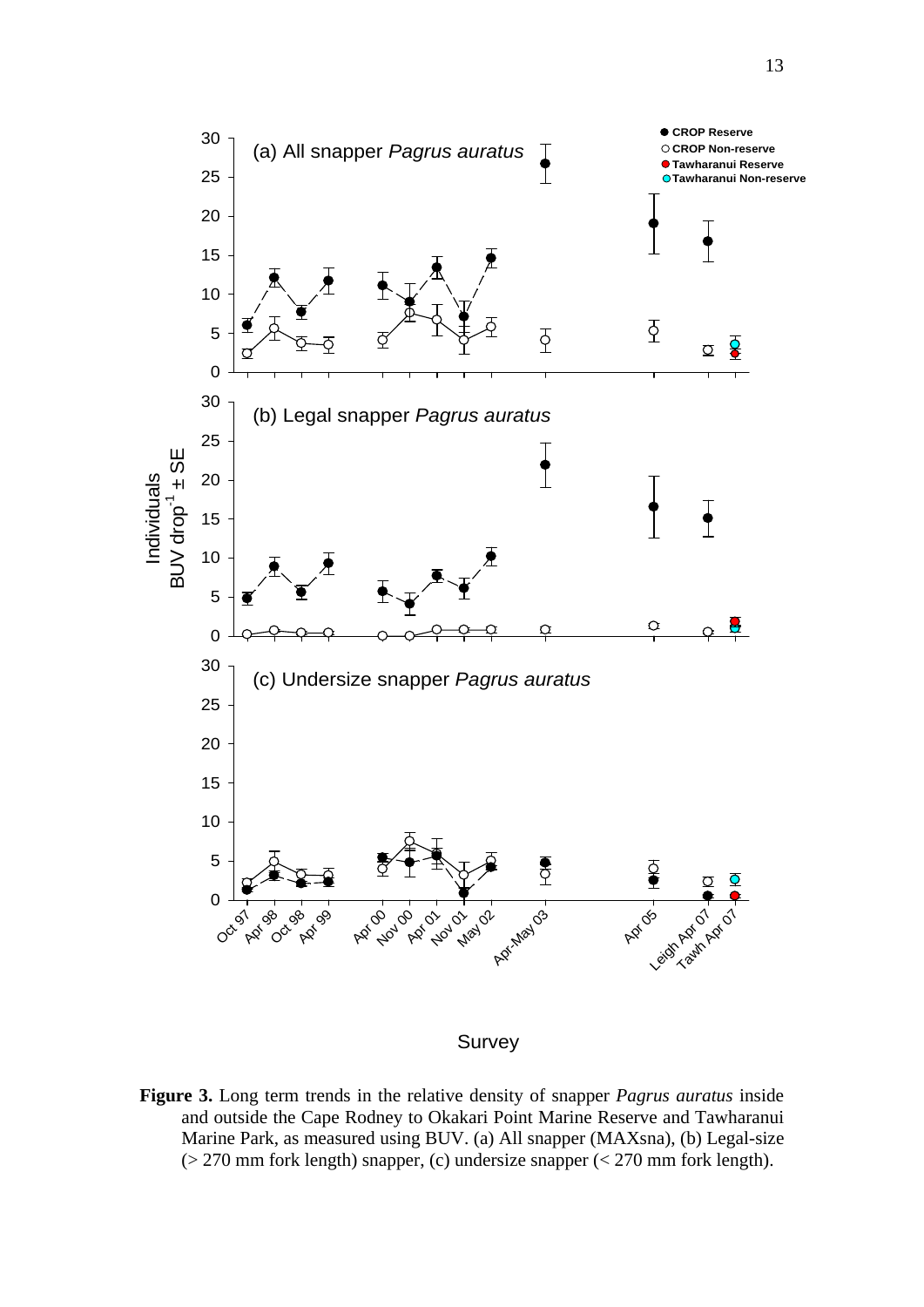

**Figure 3.** Long term trends in the relative density of snapper *Pagrus auratus* inside and outside the Cape Rodney to Okakari Point Marine Reserve and Tawharanui Marine Park, as measured using BUV. (a) All snapper (MAXsna), (b) Legal-size (> 270 mm fork length) snapper, (c) undersize snapper (< 270 mm fork length).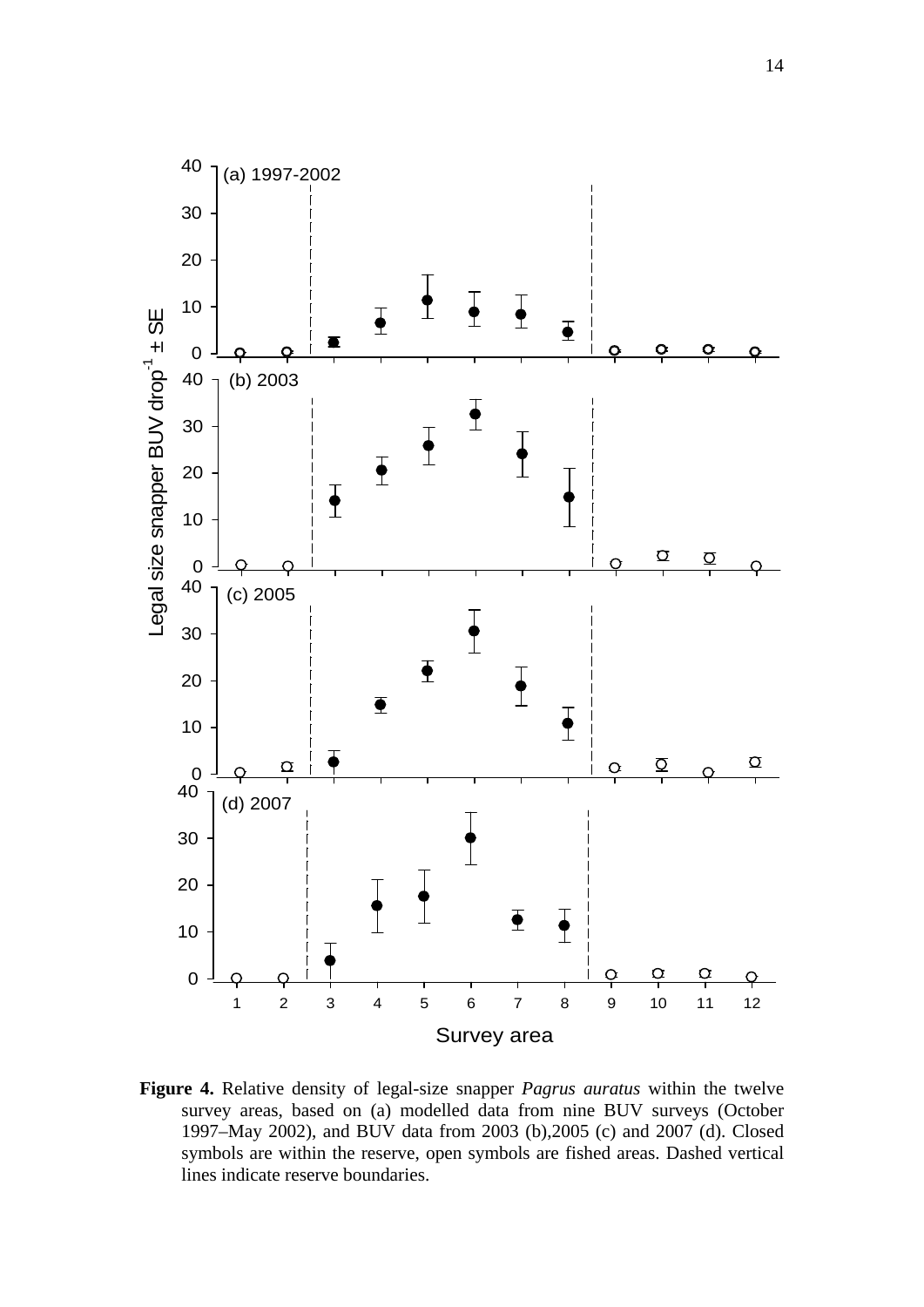

**Figure 4.** Relative density of legal-size snapper *Pagrus auratus* within the twelve survey areas, based on (a) modelled data from nine BUV surveys (October 1997–May 2002), and BUV data from 2003 (b),2005 (c) and 2007 (d). Closed symbols are within the reserve, open symbols are fished areas. Dashed vertical lines indicate reserve boundaries.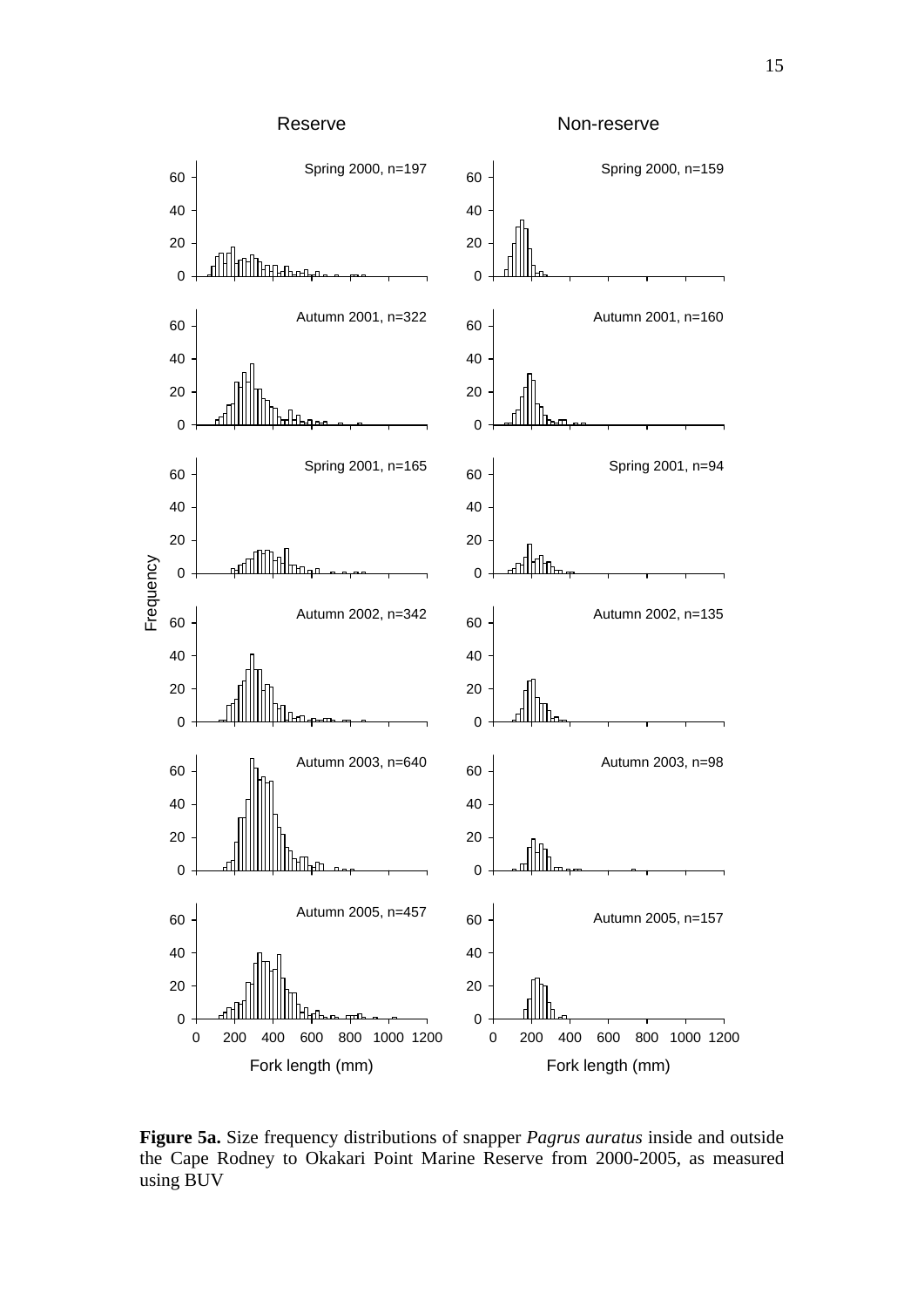

**Figure 5a.** Size frequency distributions of snapper *Pagrus auratus* inside and outside the Cape Rodney to Okakari Point Marine Reserve from 2000-2005, as measured using BUV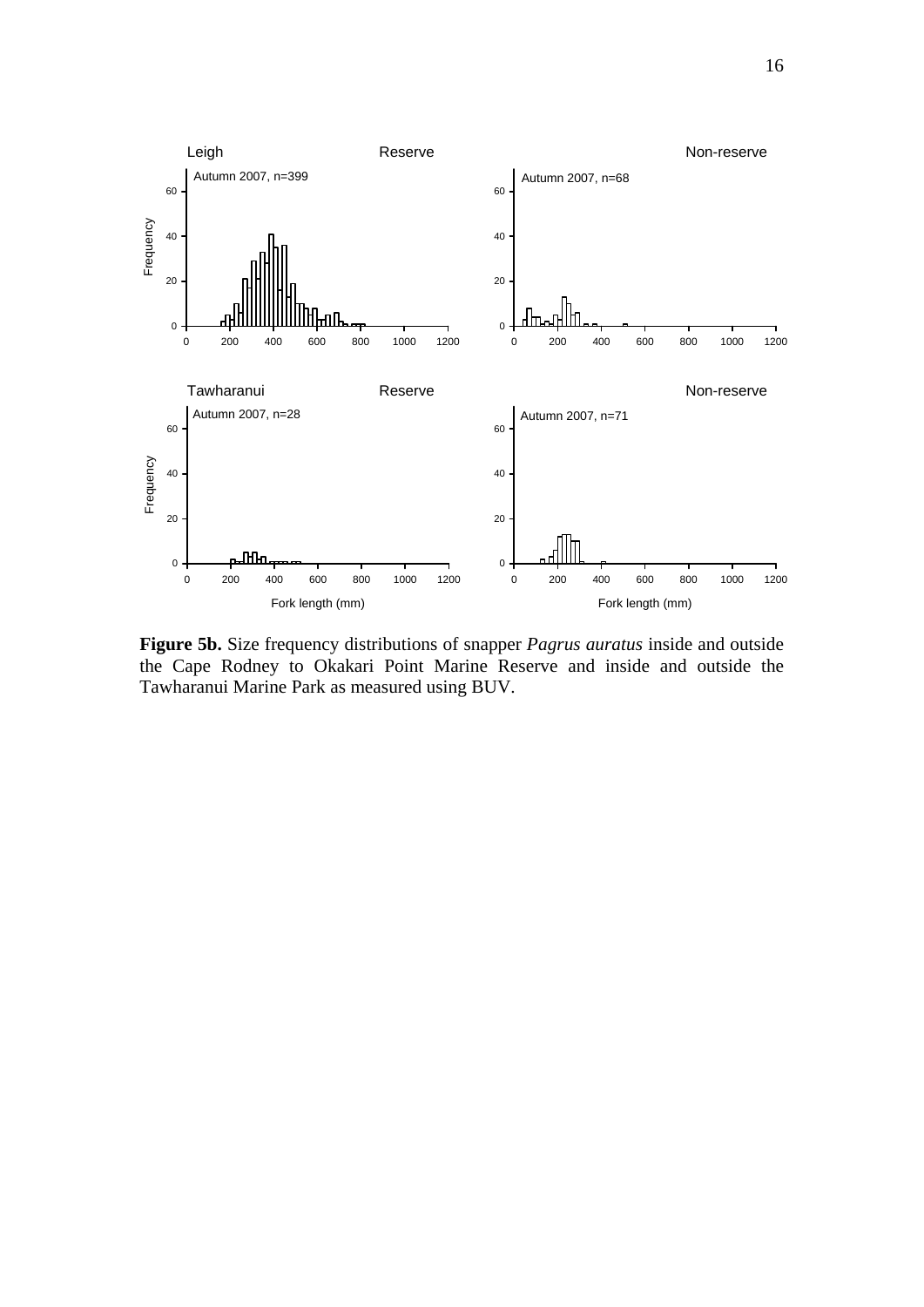

**Figure 5b.** Size frequency distributions of snapper *Pagrus auratus* inside and outside the Cape Rodney to Okakari Point Marine Reserve and inside and outside the Tawharanui Marine Park as measured using BUV.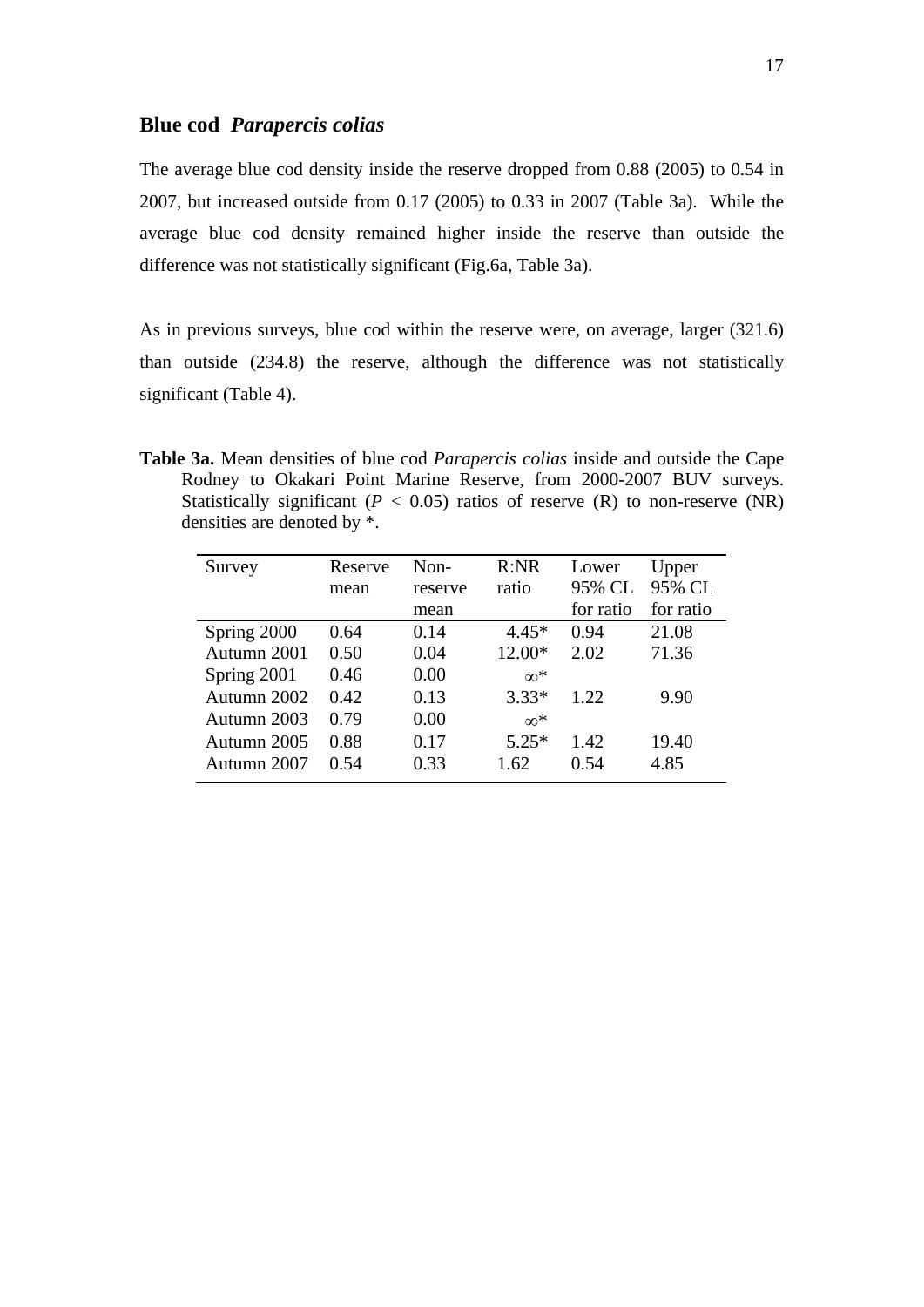## **Blue cod** *Parapercis colias*

The average blue cod density inside the reserve dropped from 0.88 (2005) to 0.54 in 2007, but increased outside from 0.17 (2005) to 0.33 in 2007 (Table 3a). While the average blue cod density remained higher inside the reserve than outside the difference was not statistically significant (Fig.6a, Table 3a).

As in previous surveys, blue cod within the reserve were, on average, larger (321.6) than outside (234.8) the reserve, although the difference was not statistically significant (Table 4).

**Table 3a.** Mean densities of blue cod *Parapercis colias* inside and outside the Cape Rodney to Okakari Point Marine Reserve, from 2000-2007 BUV surveys. Statistically significant ( $P < 0.05$ ) ratios of reserve (R) to non-reserve (NR) densities are denoted by \*.

| Survey      | Reserve | $Non-$  | R:NR       | Lower     | Upper     |
|-------------|---------|---------|------------|-----------|-----------|
|             | mean    | reserve | ratio      | 95% CL    | 95% CL    |
|             |         | mean    |            | for ratio | for ratio |
| Spring 2000 | 0.64    | 0.14    | $4.45*$    | 0.94      | 21.08     |
| Autumn 2001 | 0.50    | 0.04    | 12.00*     | 2.02      | 71.36     |
| Spring 2001 | 0.46    | 0.00    | $\infty^*$ |           |           |
| Autumn 2002 | 0.42    | 0.13    | $3.33*$    | 1.22      | 9.90      |
| Autumn 2003 | 0.79    | 0.00    | $\infty^*$ |           |           |
| Autumn 2005 | 0.88    | 0.17    | $5.25*$    | 1.42      | 19.40     |
| Autumn 2007 | 0.54    | 0.33    | 1.62       | 0.54      | 4.85      |
|             |         |         |            |           |           |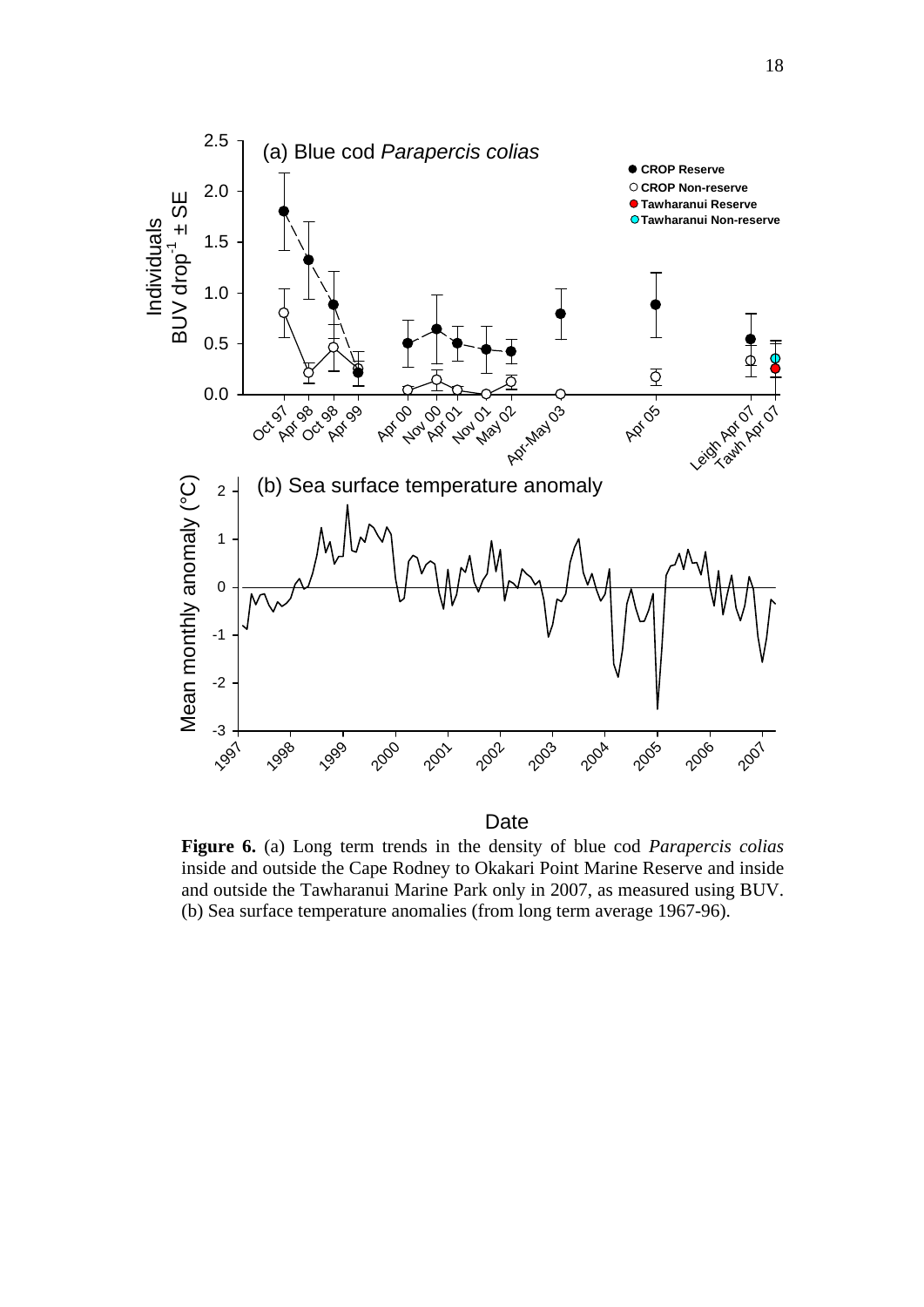

**Date** 

**Figure 6.** (a) Long term trends in the density of blue cod *Parapercis colias* inside and outside the Cape Rodney to Okakari Point Marine Reserve and inside and outside the Tawharanui Marine Park only in 2007, as measured using BUV. (b) Sea surface temperature anomalies (from long term average 1967-96).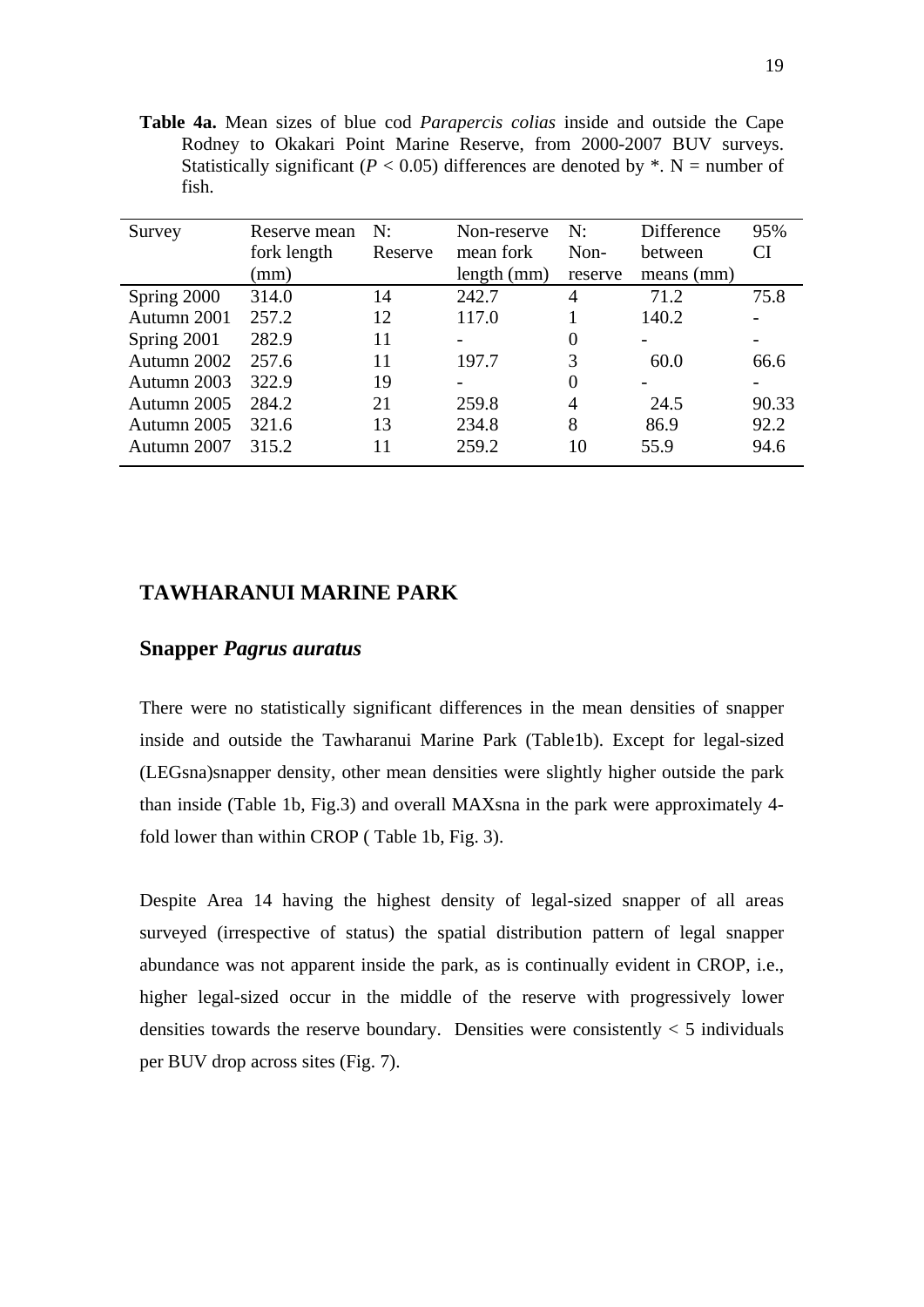**Table 4a.** Mean sizes of blue cod *Parapercis colias* inside and outside the Cape Rodney to Okakari Point Marine Reserve, from 2000-2007 BUV surveys. Statistically significant ( $P < 0.05$ ) differences are denoted by  $*$ . N = number of fish.

| Survey      | Reserve mean | N:      | Non-reserve              | N:       | Difference   | 95%   |
|-------------|--------------|---------|--------------------------|----------|--------------|-------|
|             | fork length  | Reserve | mean fork                | Non-     | between      | CI    |
|             | (mm)         |         | length (mm)              | reserve  | $means$ (mm) |       |
| Spring 2000 | 314.0        | 14      | 242.7                    | 4        | 71.2         | 75.8  |
| Autumn 2001 | 257.2        | 12      | 117.0                    |          | 140.2        |       |
| Spring 2001 | 282.9        | 11      | $\overline{\phantom{0}}$ | $\Omega$ |              |       |
| Autumn 2002 | 257.6        | 11      | 197.7                    | 3        | 60.0         | 66.6  |
| Autumn 2003 | 322.9        | 19      |                          | $\Omega$ |              |       |
| Autumn 2005 | 284.2        | 21      | 259.8                    | 4        | 24.5         | 90.33 |
| Autumn 2005 | 321.6        | 13      | 234.8                    | 8        | 86.9         | 92.2  |
| Autumn 2007 | 315.2        | 11      | 259.2                    | 10       | 55.9         | 94.6  |

# **TAWHARANUI MARINE PARK**

## **Snapper** *Pagrus auratus*

There were no statistically significant differences in the mean densities of snapper inside and outside the Tawharanui Marine Park (Table1b). Except for legal-sized (LEGsna)snapper density, other mean densities were slightly higher outside the park than inside (Table 1b, Fig.3) and overall MAXsna in the park were approximately 4 fold lower than within CROP ( Table 1b, Fig. 3).

Despite Area 14 having the highest density of legal-sized snapper of all areas surveyed (irrespective of status) the spatial distribution pattern of legal snapper abundance was not apparent inside the park, as is continually evident in CROP, i.e., higher legal-sized occur in the middle of the reserve with progressively lower densities towards the reserve boundary. Densities were consistently  $<$  5 individuals per BUV drop across sites (Fig. 7).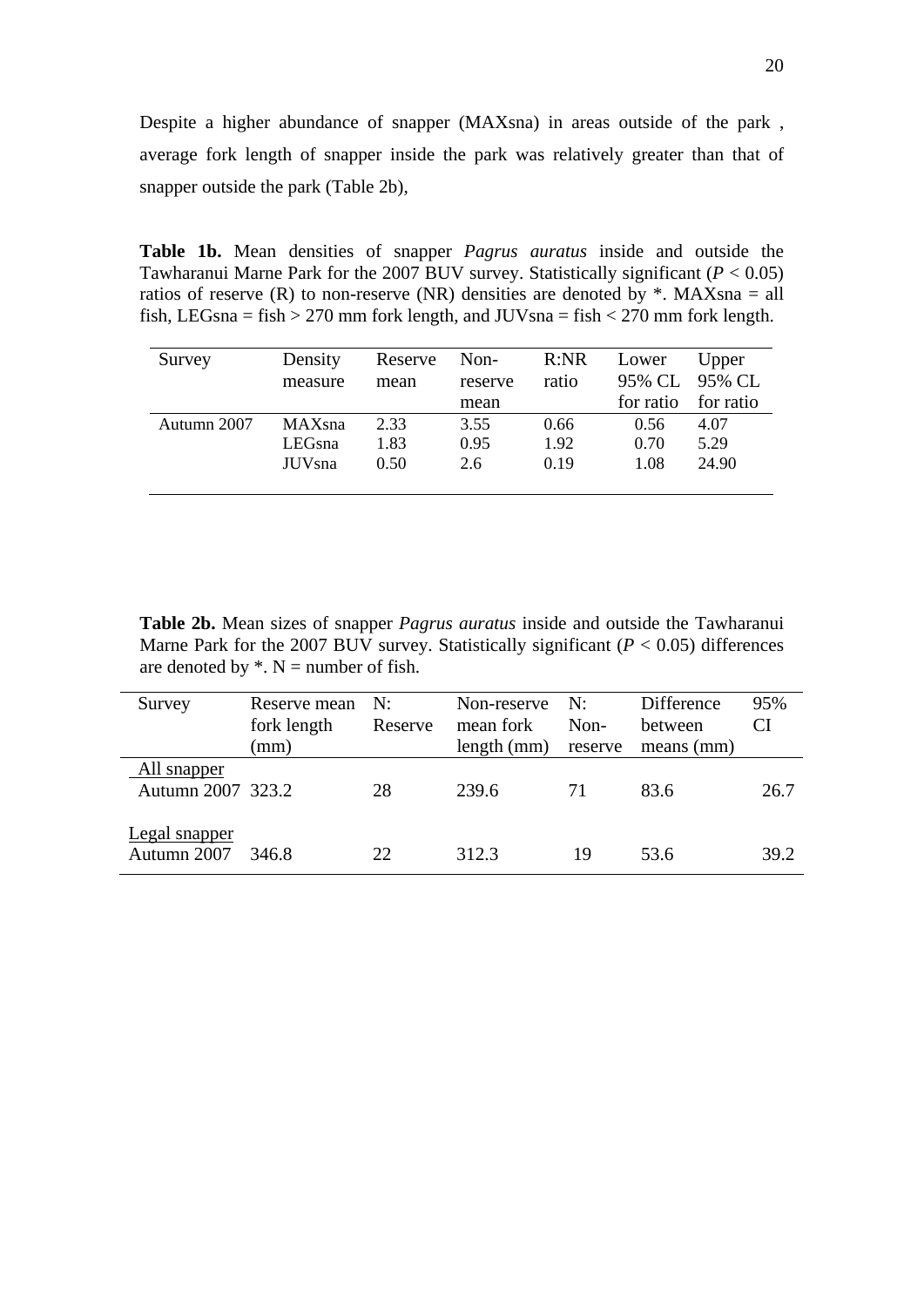Despite a higher abundance of snapper (MAXsna) in areas outside of the park , average fork length of snapper inside the park was relatively greater than that of snapper outside the park (Table 2b),

**Table 1b.** Mean densities of snapper *Pagrus auratus* inside and outside the Tawharanui Marne Park for the 2007 BUV survey. Statistically significant (*P* < 0.05) ratios of reserve (R) to non-reserve (NR) densities are denoted by  $*$ . MAXsna = all fish, LEGsna = fish > 270 mm fork length, and JUVsna = fish < 270 mm fork length.

| Survey      | Density<br>measure | Reserve<br>mean | Non-<br>reserve | R:NR<br>ratio | Lower     | Upper<br>95% CL 95% CL |
|-------------|--------------------|-----------------|-----------------|---------------|-----------|------------------------|
|             |                    |                 | mean            |               | for ratio | for ratio              |
| Autumn 2007 | <b>MAXsna</b>      | 2.33            | 3.55            | 0.66          | 0.56      | 4.07                   |
|             | LEGsna             | 1.83            | 0.95            | 1.92          | 0.70      | 5.29                   |
|             | JUV <sub>sna</sub> | 0.50            | 2.6             | 0.19          | 1.08      | 24.90                  |
|             |                    |                 |                 |               |           |                        |

**Table 2b.** Mean sizes of snapper *Pagrus auratus* inside and outside the Tawharanui Marne Park for the 2007 BUV survey. Statistically significant  $(P < 0.05)$  differences are denoted by  $*$ . N = number of fish.

| Survey                           | Reserve mean<br>fork length<br>(mm) | N:<br>Reserve | Non-reserve N:<br>mean fork<br>length (mm) | Non-<br>reserve | Difference<br>between<br>means (mm) | 95%<br>CI |
|----------------------------------|-------------------------------------|---------------|--------------------------------------------|-----------------|-------------------------------------|-----------|
| All snapper<br>Autumn 2007 323.2 |                                     | 28            | 239.6                                      | 71              | 83.6                                | 26.7      |
| Legal snapper<br>Autumn 2007     | 346.8                               | 22            | 312.3                                      | 19              | 53.6                                | 39.2      |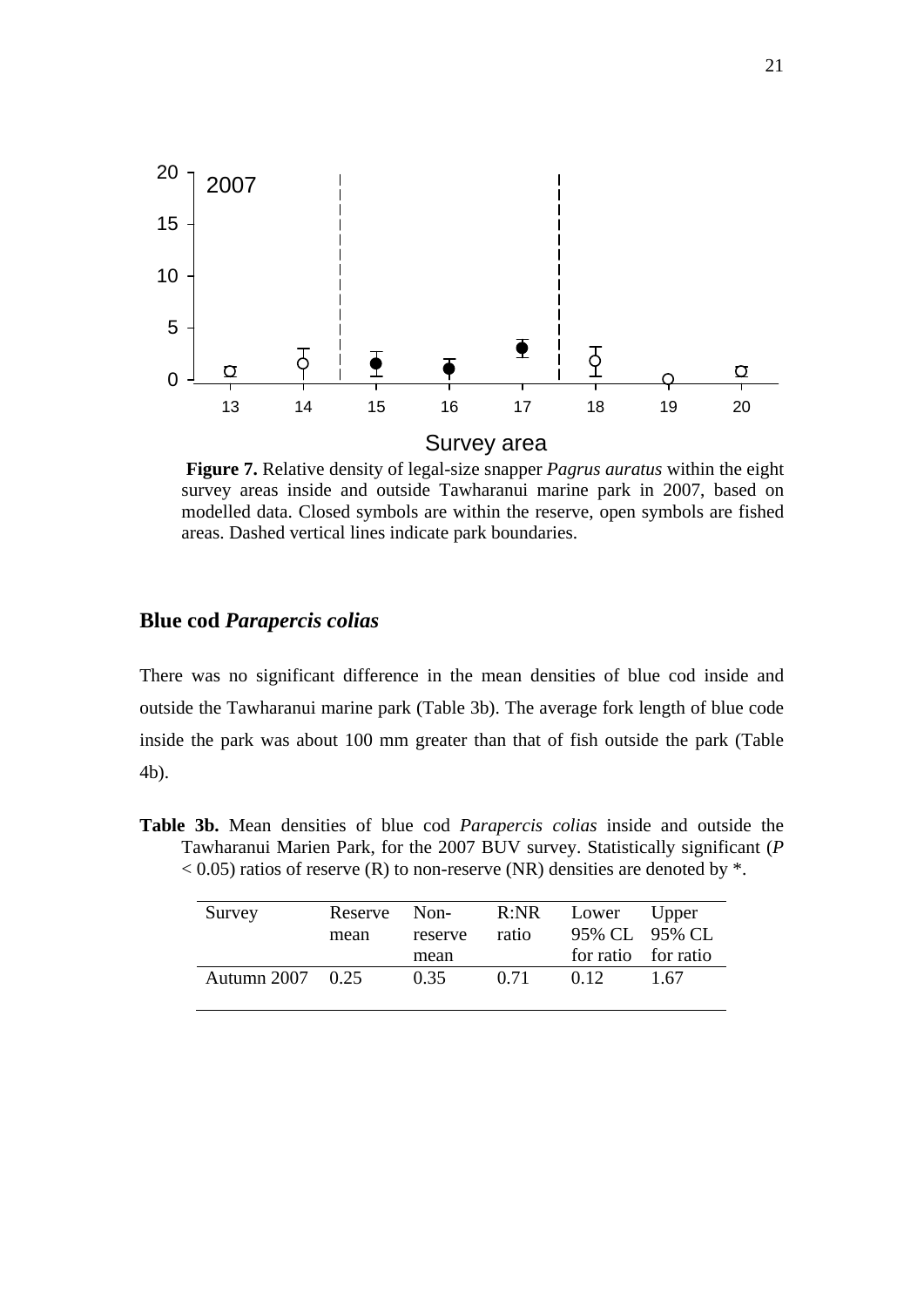

 **Figure 7.** Relative density of legal-size snapper *Pagrus auratus* within the eight survey areas inside and outside Tawharanui marine park in 2007, based on modelled data. Closed symbols are within the reserve, open symbols are fished areas. Dashed vertical lines indicate park boundaries.

# **Blue cod** *Parapercis colias*

There was no significant difference in the mean densities of blue cod inside and outside the Tawharanui marine park (Table 3b). The average fork length of blue code inside the park was about 100 mm greater than that of fish outside the park (Table 4b).

**Table 3b.** Mean densities of blue cod *Parapercis colias* inside and outside the Tawharanui Marien Park, for the 2007 BUV survey. Statistically significant (*P*  $<$  0.05) ratios of reserve (R) to non-reserve (NR) densities are denoted by  $*$ .

| Survey           | Reserve Non-<br>mean | reserve<br>mean | ratio | R:NR Lower Upper<br>95% CL 95% CL<br>for ratio for ratio |       |
|------------------|----------------------|-----------------|-------|----------------------------------------------------------|-------|
| Autumn 2007 0.25 |                      | 0.35            | 0.71  | 0.12                                                     | -1.67 |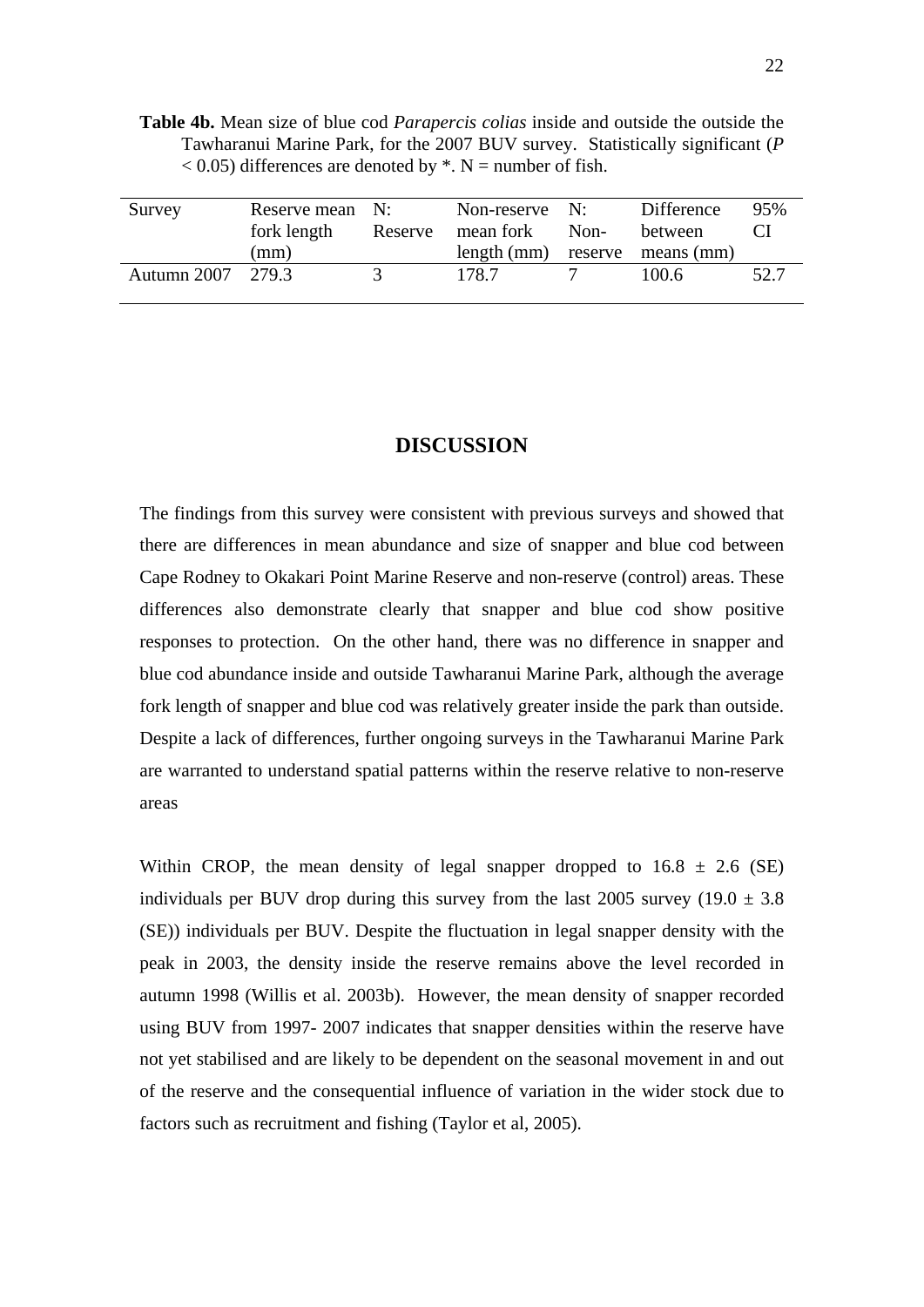**Table 4b.** Mean size of blue cod *Parapercis colias* inside and outside the outside the Tawharanui Marine Park, for the 2007 BUV survey. Statistically significant (*P*  $<$  0.05) differences are denoted by  $*$ . N = number of fish.

| Survey            | Reserve mean N:<br>fork length<br>(mm) | Reserve | Non-reserve $N$ :<br>mean fork Non- | Difference<br>between<br>length (mm) reserve means (mm) | 95%  |
|-------------------|----------------------------------------|---------|-------------------------------------|---------------------------------------------------------|------|
| Autumn 2007 279.3 |                                        | $\prec$ | 178.7                               | 100.6                                                   | 52.7 |

#### **DISCUSSION**

The findings from this survey were consistent with previous surveys and showed that there are differences in mean abundance and size of snapper and blue cod between Cape Rodney to Okakari Point Marine Reserve and non-reserve (control) areas. These differences also demonstrate clearly that snapper and blue cod show positive responses to protection. On the other hand, there was no difference in snapper and blue cod abundance inside and outside Tawharanui Marine Park, although the average fork length of snapper and blue cod was relatively greater inside the park than outside. Despite a lack of differences, further ongoing surveys in the Tawharanui Marine Park are warranted to understand spatial patterns within the reserve relative to non-reserve areas

Within CROP, the mean density of legal snapper dropped to  $16.8 \pm 2.6$  (SE) individuals per BUV drop during this survey from the last 2005 survey (19.0  $\pm$  3.8 (SE)) individuals per BUV. Despite the fluctuation in legal snapper density with the peak in 2003, the density inside the reserve remains above the level recorded in autumn 1998 (Willis et al. 2003b). However, the mean density of snapper recorded using BUV from 1997- 2007 indicates that snapper densities within the reserve have not yet stabilised and are likely to be dependent on the seasonal movement in and out of the reserve and the consequential influence of variation in the wider stock due to factors such as recruitment and fishing (Taylor et al, 2005).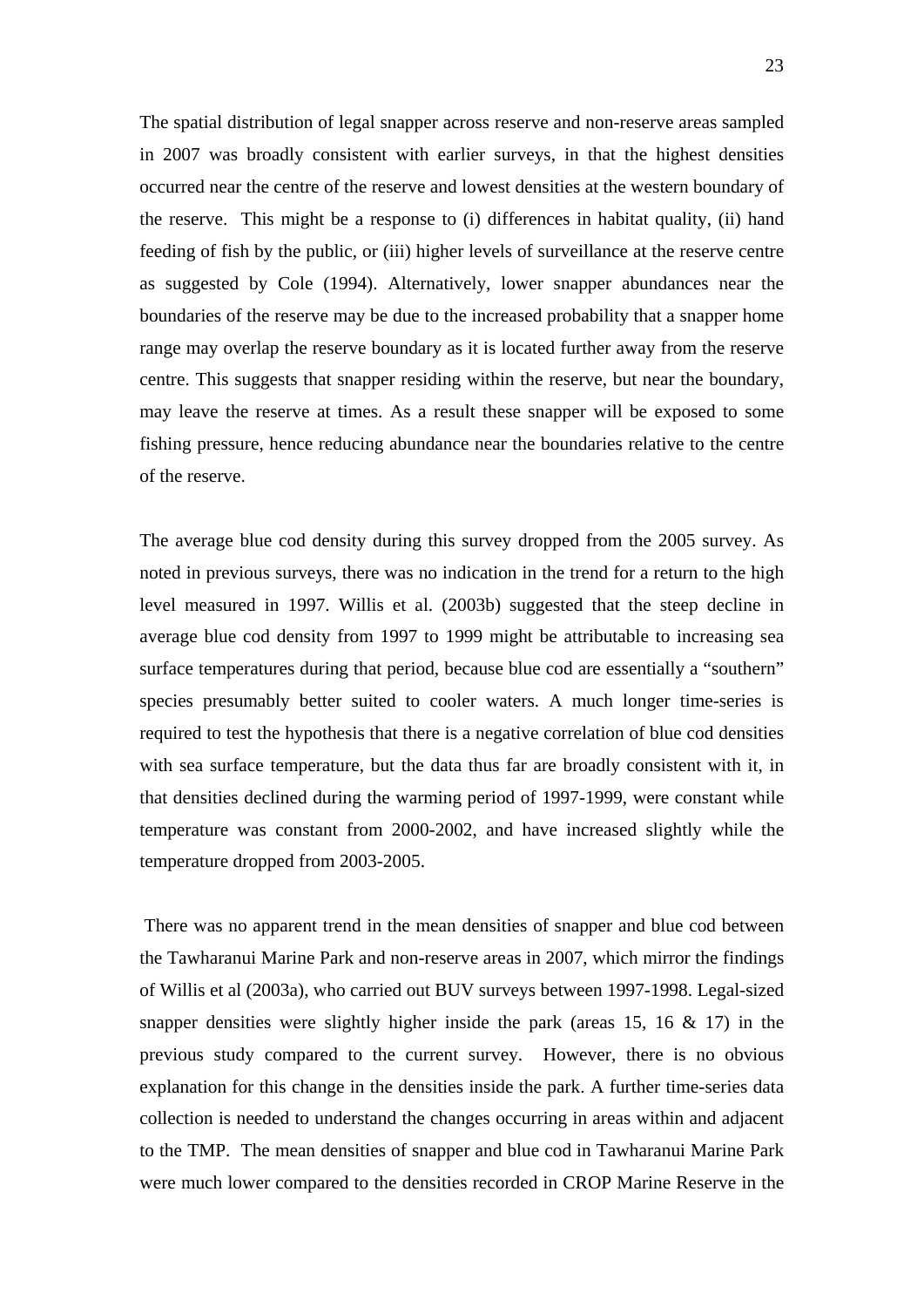The spatial distribution of legal snapper across reserve and non-reserve areas sampled in 2007 was broadly consistent with earlier surveys, in that the highest densities occurred near the centre of the reserve and lowest densities at the western boundary of the reserve. This might be a response to (i) differences in habitat quality, (ii) hand feeding of fish by the public, or (iii) higher levels of surveillance at the reserve centre as suggested by Cole (1994). Alternatively, lower snapper abundances near the boundaries of the reserve may be due to the increased probability that a snapper home range may overlap the reserve boundary as it is located further away from the reserve centre. This suggests that snapper residing within the reserve, but near the boundary, may leave the reserve at times. As a result these snapper will be exposed to some fishing pressure, hence reducing abundance near the boundaries relative to the centre of the reserve.

The average blue cod density during this survey dropped from the 2005 survey. As noted in previous surveys, there was no indication in the trend for a return to the high level measured in 1997. Willis et al. (2003b) suggested that the steep decline in average blue cod density from 1997 to 1999 might be attributable to increasing sea surface temperatures during that period, because blue cod are essentially a "southern" species presumably better suited to cooler waters. A much longer time-series is required to test the hypothesis that there is a negative correlation of blue cod densities with sea surface temperature, but the data thus far are broadly consistent with it, in that densities declined during the warming period of 1997-1999, were constant while temperature was constant from 2000-2002, and have increased slightly while the temperature dropped from 2003-2005.

 There was no apparent trend in the mean densities of snapper and blue cod between the Tawharanui Marine Park and non-reserve areas in 2007, which mirror the findings of Willis et al (2003a), who carried out BUV surveys between 1997-1998. Legal-sized snapper densities were slightly higher inside the park (areas 15, 16  $\&$  17) in the previous study compared to the current survey. However, there is no obvious explanation for this change in the densities inside the park. A further time-series data collection is needed to understand the changes occurring in areas within and adjacent to the TMP. The mean densities of snapper and blue cod in Tawharanui Marine Park were much lower compared to the densities recorded in CROP Marine Reserve in the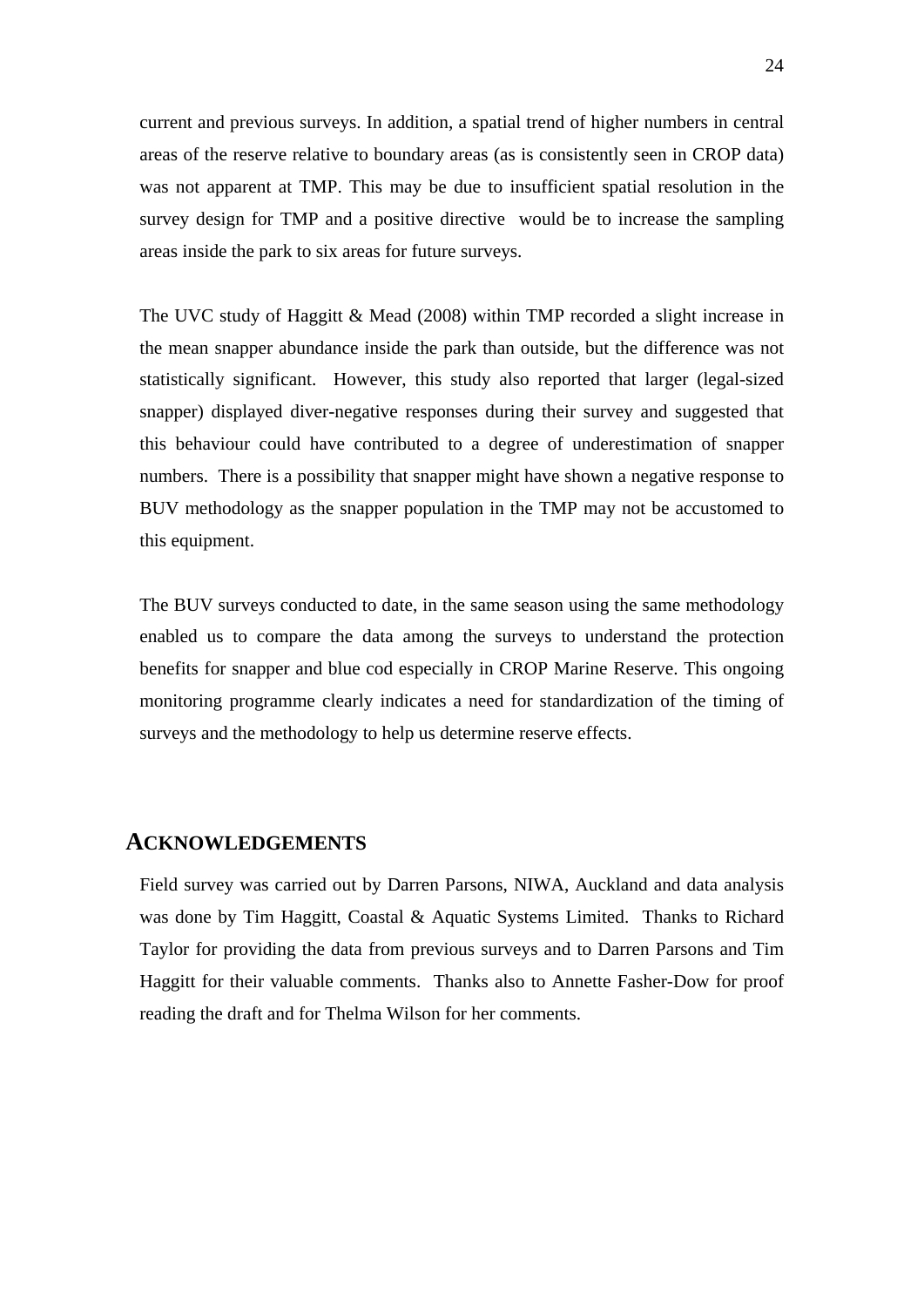current and previous surveys. In addition, a spatial trend of higher numbers in central areas of the reserve relative to boundary areas (as is consistently seen in CROP data) was not apparent at TMP. This may be due to insufficient spatial resolution in the survey design for TMP and a positive directive would be to increase the sampling areas inside the park to six areas for future surveys.

The UVC study of Haggitt & Mead (2008) within TMP recorded a slight increase in the mean snapper abundance inside the park than outside, but the difference was not statistically significant. However, this study also reported that larger (legal-sized snapper) displayed diver-negative responses during their survey and suggested that this behaviour could have contributed to a degree of underestimation of snapper numbers. There is a possibility that snapper might have shown a negative response to BUV methodology as the snapper population in the TMP may not be accustomed to this equipment.

The BUV surveys conducted to date, in the same season using the same methodology enabled us to compare the data among the surveys to understand the protection benefits for snapper and blue cod especially in CROP Marine Reserve. This ongoing monitoring programme clearly indicates a need for standardization of the timing of surveys and the methodology to help us determine reserve effects.

## **ACKNOWLEDGEMENTS**

Field survey was carried out by Darren Parsons, NIWA, Auckland and data analysis was done by Tim Haggitt, Coastal & Aquatic Systems Limited. Thanks to Richard Taylor for providing the data from previous surveys and to Darren Parsons and Tim Haggitt for their valuable comments. Thanks also to Annette Fasher-Dow for proof reading the draft and for Thelma Wilson for her comments.